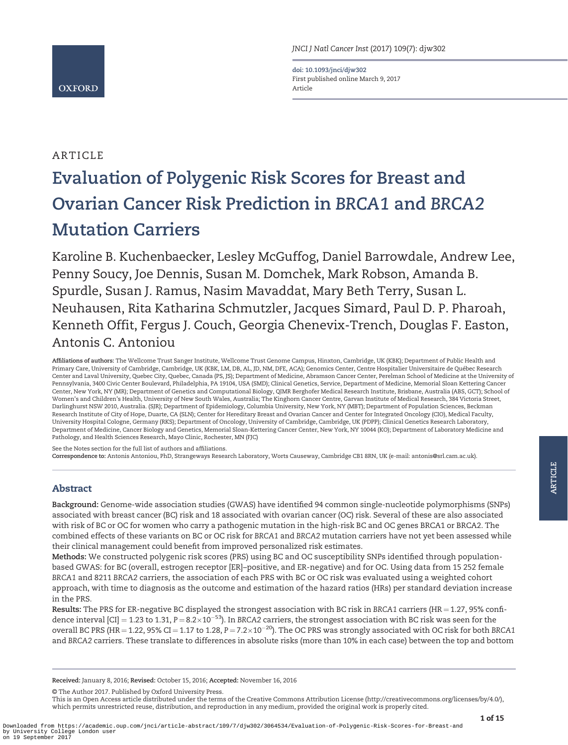

doi: 10.1093/jnci/djw302 First published online March 9, 2017 Article

# ARTICLE

# Evaluation of Polygenic Risk Scores for Breast and Ovarian Cancer Risk Prediction in BRCA1 and BRCA2 Mutation Carriers

Karoline B. Kuchenbaecker, Lesley McGuffog, Daniel Barrowdale, Andrew Lee, Penny Soucy, Joe Dennis, Susan M. Domchek, Mark Robson, Amanda B. Spurdle, Susan J. Ramus, Nasim Mavaddat, Mary Beth Terry, Susan L. Neuhausen, Rita Katharina Schmutzler, Jacques Simard, Paul D. P. Pharoah, Kenneth Offit, Fergus J. Couch, Georgia Chenevix-Trench, Douglas F. Easton, Antonis C. Antoniou

Affiliations of authors: The Wellcome Trust Sanger Institute, Wellcome Trust Genome Campus, Hinxton, Cambridge, UK (KBK); Department of Public Health and Primary Care, University of Cambridge, Cambridge, UK (KBK, LM, DB, AL, JD, NM, DFE, ACA); Genomics Center, Centre Hospitalier Universitaire de Québec Research Center and Laval University, Quebec City, Quebec, Canada (PS, JS); Department of Medicine, Abramson Cancer Center, Perelman School of Medicine at the University of Pennsylvania, 3400 Civic Center Boulevard, Philadelphia, PA 19104, USA (SMD); Clinical Genetics, Service, Department of Medicine, Memorial Sloan Kettering Cancer Center, New York, NY (MR); Department of Genetics and Computational Biology, QIMR Berghofer Medical Research Institute, Brisbane, Australia (ABS, GCT); School of Women's and Children's Health, University of New South Wales, Australia; The Kinghorn Cancer Centre, Garvan Institute of Medical Research, 384 Victoria Street, Darlinghurst NSW 2010, Australia. (SJR); Department of Epidemiology, Columbia University, New York, NY (MBT); Department of Population Sciences, Beckman Research Institute of City of Hope, Duarte, CA (SLN); Center for Hereditary Breast and Ovarian Cancer and Center for Integrated Oncology (CIO), Medical Faculty, University Hospital Cologne, Germany (RKS); Department of Oncology, University of Cambridge, Cambridge, UK (PDPP); Clinical Genetics Research Laboratory, Department of Medicine, Cancer Biology and Genetics, Memorial Sloan-Kettering Cancer Center, New York, NY 10044 (KO); Department of Laboratory Medicine and Pathology, and Health Sciences Research, Mayo Clinic, Rochester, MN (FJC)

See the Notes section for the full list of authors and affiliations. Correspondence to: Antonis Antoniou, PhD, Strangeways Research Laboratory, Worts Causeway, Cambridge CB1 8RN, UK (e-mail: [antonis@srl.cam.ac.uk\).](mailto:antonis@srl.cam.ac.uk)

# Abstract

Background: Genome-wide association studies (GWAS) have identified 94 common single-nucleotide polymorphisms (SNPs) associated with breast cancer (BC) risk and 18 associated with ovarian cancer (OC) risk. Several of these are also associated with risk of BC or OC for women who carry a pathogenic mutation in the high-risk BC and OC genes BRCA1 or BRCA2. The combined effects of these variants on BC or OC risk for BRCA1 and BRCA2 mutation carriers have not yet been assessed while their clinical management could benefit from improved personalized risk estimates.

Methods: We constructed polygenic risk scores (PRS) using BC and OC susceptibility SNPs identified through populationbased GWAS: for BC (overall, estrogen receptor [ER]–positive, and ER-negative) and for OC. Using data from 15 252 female BRCA1 and 8211 BRCA2 carriers, the association of each PRS with BC or OC risk was evaluated using a weighted cohort approach, with time to diagnosis as the outcome and estimation of the hazard ratios (HRs) per standard deviation increase in the PRS.

Results: The PRS for ER-negative BC displayed the strongest association with BC risk in BRCA1 carriers (HR = 1.27, 95% confidence interval [CI] = 1.23 to 1.31, P = 8.2 $\times$ 10 $^{-53}$ ). In BRCA2 carriers, the strongest association with BC risk was seen for the overall BC PRS (HR = 1.22, 95% CI = 1.17 to 1.28, P = 7.2 $\times$ 10 $^{-20}$ ). The OC PRS was strongly associated with OC risk for both BRCA1 and BRCA2 carriers. These translate to differences in absolute risks (more than 10% in each case) between the top and bottom

Received: January 8, 2016; Revised: October 15, 2016; Accepted: November 16, 2016

© The Author 2017. Published by Oxford University Press.

This is an Open Access article distributed under the terms of the Creative Commons Attribution License (http://creativecommons.org/licenses/by/4.0/), which permits unrestricted reuse, distribution, and reproduction in any medium, provided the original work is properly cited.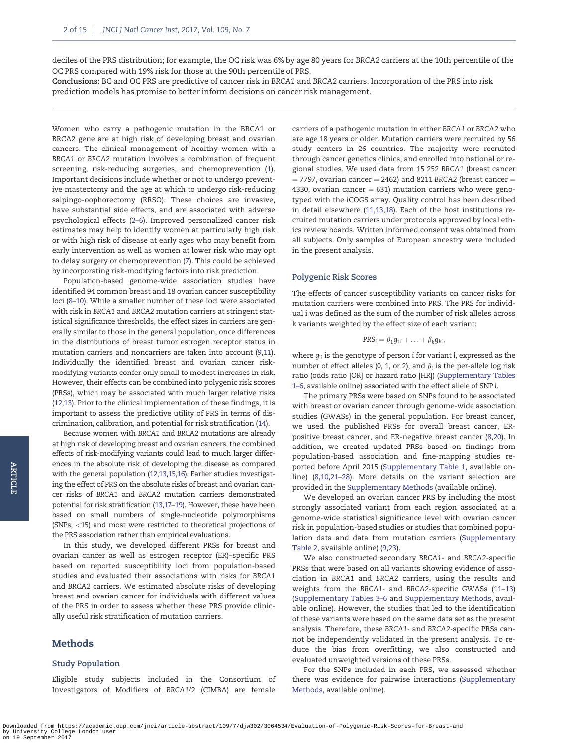deciles of the PRS distribution; for example, the OC risk was 6% by age 80 years for BRCA2 carriers at the 10th percentile of the OC PRS compared with 19% risk for those at the 90th percentile of PRS.

Conclusions: BC and OC PRS are predictive of cancer risk in BRCA1 and BRCA2 carriers. Incorporation of the PRS into risk prediction models has promise to better inform decisions on cancer risk management.

Women who carry a pathogenic mutation in the BRCA1 or BRCA2 gene are at high risk of developing breast and ovarian cancers. The clinical management of healthy women with a BRCA1 or BRCA2 mutation involves a combination of frequent screening, risk-reducing surgeries, and chemoprevention [\(1](#page-13-0)). Important decisions include whether or not to undergo preventive mastectomy and the age at which to undergo risk-reducing salpingo-oophorectomy (RRSO). These choices are invasive, have substantial side effects, and are associated with adverse psychological effects [\(2](#page-13-0)–[6](#page-13-0)). Improved personalized cancer risk estimates may help to identify women at particularly high risk or with high risk of disease at early ages who may benefit from early intervention as well as women at lower risk who may opt to delay surgery or chemoprevention [\(7\)](#page-13-0). This could be achieved by incorporating risk-modifying factors into risk prediction.

Population-based genome-wide association studies have identified 94 common breast and 18 ovarian cancer susceptibility loci ([8–10\)](#page-13-0). While a smaller number of these loci were associated with risk in BRCA1 and BRCA2 mutation carriers at stringent statistical significance thresholds, the effect sizes in carriers are generally similar to those in the general population, once differences in the distributions of breast tumor estrogen receptor status in mutation carriers and noncarriers are taken into account [\(9,11](#page-13-0)). Individually the identified breast and ovarian cancer riskmodifying variants confer only small to modest increases in risk. However, their effects can be combined into polygenic risk scores (PRSs), which may be associated with much larger relative risks ([12,13](#page-13-0)). Prior to the clinical implementation of these findings, it is important to assess the predictive utility of PRS in terms of discrimination, calibration, and potential for risk stratification ([14\)](#page-13-0).

Because women with BRCA1 and BRCA2 mutations are already at high risk of developing breast and ovarian cancers, the combined effects of risk-modifying variants could lead to much larger differences in the absolute risk of developing the disease as compared with the general population [\(12,13,15,16\)](#page-13-0). Earlier studies investigating the effect of PRS on the absolute risks of breast and ovarian cancer risks of BRCA1 and BRCA2 mutation carriers demonstrated potential for risk stratification [\(13,17–19](#page-13-0)). However, these have been based on small numbers of single-nucleotide polymorphisms (SNPs; <15) and most were restricted to theoretical projections of the PRS association rather than empirical evaluations.

In this study, we developed different PRSs for breast and ovarian cancer as well as estrogen receptor (ER)–specific PRS based on reported susceptibility loci from population-based studies and evaluated their associations with risks for BRCA1 and BRCA2 carriers. We estimated absolute risks of developing breast and ovarian cancer for individuals with different values of the PRS in order to assess whether these PRS provide clinically useful risk stratification of mutation carriers.

# **Methods**

# Study Population

Eligible study subjects included in the Consortium of Investigators of Modifiers of BRCA1/2 (CIMBA) are female

carriers of a pathogenic mutation in either BRCA1 or BRCA2 who are age 18 years or older. Mutation carriers were recruited by 56 study centers in 26 countries. The majority were recruited through cancer genetics clinics, and enrolled into national or regional studies. We used data from 15 252 BRCA1 (breast cancer  $=$  7797, ovarian cancer  $=$  2462) and 8211 BRCA2 (breast cancer  $=$ 4330, ovarian cancer  $= 631$ ) mutation carriers who were genotyped with the iCOGS array. Quality control has been described in detail elsewhere [\(11,13,18](#page-13-0)). Each of the host institutions recruited mutation carriers under protocols approved by local ethics review boards. Written informed consent was obtained from all subjects. Only samples of European ancestry were included in the present analysis.

#### Polygenic Risk Scores

The effects of cancer susceptibility variants on cancer risks for mutation carriers were combined into PRS. The PRS for individual i was defined as the sum of the number of risk alleles across k variants weighted by the effect size of each variant:

$$
PRS_i = \beta_1 g_{1i} + \ldots + \beta_k g_{ki},
$$

where  $g_{li}$  is the genotype of person i for variant l, expressed as the number of effect alleles (0, 1, or 2), and  $\beta_1$  is the per-allele log risk ratio (odds ratio [OR] or hazard ratio [HR]) ([Supplementary Tables](http://jnci.oxfordjournals.org/lookup/suppl/doi:10.1093/jnci/djw302/-/DC1) [1–6,](http://jnci.oxfordjournals.org/lookup/suppl/doi:10.1093/jnci/djw302/-/DC1) available online) associated with the effect allele of SNP l.

The primary PRSs were based on SNPs found to be associated with breast or ovarian cancer through genome-wide association studies (GWASs) in the general population. For breast cancer, we used the published PRSs for overall breast cancer, ERpositive breast cancer, and ER-negative breast cancer [\(8,20\)](#page-13-0). In addition, we created updated PRSs based on findings from population-based association and fine-mapping studies reported before April 2015 ([Supplementary Table 1,](http://jnci.oxfordjournals.org/lookup/suppl/doi:10.1093/jnci/djw302/-/DC1) available online) [\(8,10,21–28\)](#page-13-0). More details on the variant selection are provided in the [Supplementary Methods](http://jnci.oxfordjournals.org/lookup/suppl/doi:10.1093/jnci/djw302/-/DC1) (available online).

We developed an ovarian cancer PRS by including the most strongly associated variant from each region associated at a genome-wide statistical significance level with ovarian cancer risk in population-based studies or studies that combined population data and data from mutation carriers [\(Supplementary](http://jnci.oxfordjournals.org/lookup/suppl/doi:10.1093/jnci/djw302/-/DC1) [Table 2,](http://jnci.oxfordjournals.org/lookup/suppl/doi:10.1093/jnci/djw302/-/DC1) available online) [\(9,23\)](#page-13-0).

We also constructed secondary BRCA1- and BRCA2-specific PRSs that were based on all variants showing evidence of association in BRCA1 and BRCA2 carriers, using the results and weights from the BRCA1- and BRCA2-specific GWASs ([11](#page-13-0)–[13](#page-13-0)) ([Supplementary Tables 3–6](http://jnci.oxfordjournals.org/lookup/suppl/doi:10.1093/jnci/djw302/-/DC1) and [Supplementary Methods,](http://jnci.oxfordjournals.org/lookup/suppl/doi:10.1093/jnci/djw302/-/DC1) available online). However, the studies that led to the identification of these variants were based on the same data set as the present analysis. Therefore, these BRCA1- and BRCA2-specific PRSs cannot be independently validated in the present analysis. To reduce the bias from overfitting, we also constructed and evaluated unweighted versions of these PRSs.

For the SNPs included in each PRS, we assessed whether there was evidence for pairwise interactions [\(Supplementary](http://jnci.oxfordjournals.org/lookup/suppl/doi:10.1093/jnci/djw302/-/DC1) [Methods,](http://jnci.oxfordjournals.org/lookup/suppl/doi:10.1093/jnci/djw302/-/DC1) available online).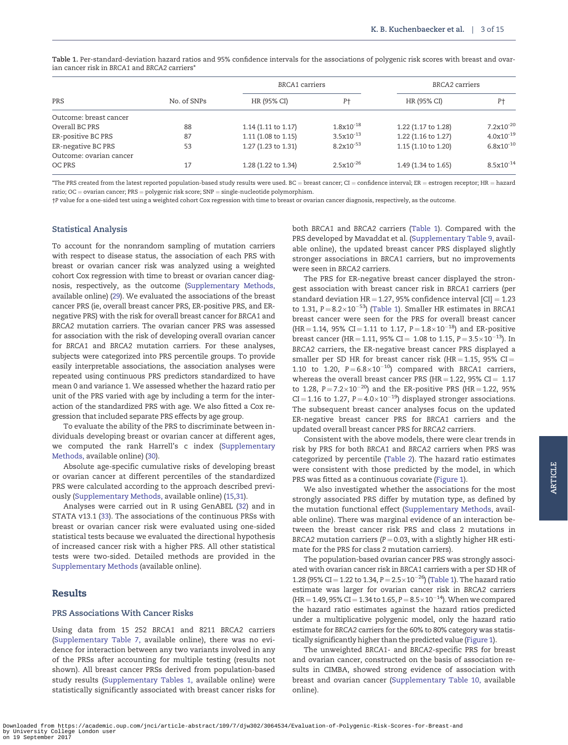| PRS                     | No. of SNPs | <b>BRCA1</b> carriers |                | <b>BRCA2</b> carriers |                |
|-------------------------|-------------|-----------------------|----------------|-----------------------|----------------|
|                         |             | HR (95% CI)           | P†             | HR (95% CI)           | P†             |
| Outcome: breast cancer  |             |                       |                |                       |                |
| Overall BC PRS          | 88          | $1.14$ (1.11 to 1.17) | $1.8x10^{-18}$ | 1.22 (1.17 to 1.28)   | $7.2x10^{-20}$ |
| ER-positive BC PRS      | 87          | 1.11 (1.08 to 1.15)   | $3.5x10^{-13}$ | 1.22 (1.16 to 1.27)   | $4.0x10^{-19}$ |
| ER-negative BC PRS      | 53          | 1.27 (1.23 to 1.31)   | $8.2x10^{-53}$ | 1.15 (1.10 to 1.20)   | $6.8x10^{-10}$ |
| Outcome: ovarian cancer |             |                       |                |                       |                |
| OC PRS                  | 17          | 1.28 (1.22 to 1.34)   | $2.5x10^{-26}$ | 1.49 (1.34 to 1.65)   | $8.5x10^{-14}$ |

Table 1. Per-standard-deviation hazard ratios and 95% confidence intervals for the associations of polygenic risk scores with breast and ovarian cancer risk in BRCA1 and BRCA2 carriers<sup>\*</sup>

 $*$ The PRS created from the latest reported population-based study results were used. BC = breast cancer; CI = confidence interval; ER = estrogen receptor; HR = hazard ratio;  $OC =$  ovarian cancer;  $PRS =$  polygenic risk score;  $SNP =$  single-nucleotide polymorphism.

†P value for a one-sided test using a weighted cohort Cox regression with time to breast or ovarian cancer diagnosis, respectively, as the outcome.

## Statistical Analysis

To account for the nonrandom sampling of mutation carriers with respect to disease status, the association of each PRS with breast or ovarian cancer risk was analyzed using a weighted cohort Cox regression with time to breast or ovarian cancer diagnosis, respectively, as the outcome [\(Supplementary Methods,](http://jnci.oxfordjournals.org/lookup/suppl/doi:10.1093/jnci/djw302/-/DC1) available online) ([29\)](#page-13-0). We evaluated the associations of the breast cancer PRS (ie, overall breast cancer PRS, ER-positive PRS, and ERnegative PRS) with the risk for overall breast cancer for BRCA1 and BRCA2 mutation carriers. The ovarian cancer PRS was assessed for association with the risk of developing overall ovarian cancer for BRCA1 and BRCA2 mutation carriers. For these analyses, subjects were categorized into PRS percentile groups. To provide easily interpretable associations, the association analyses were repeated using continuous PRS predictors standardized to have mean 0 and variance 1. We assessed whether the hazard ratio per unit of the PRS varied with age by including a term for the interaction of the standardized PRS with age. We also fitted a Cox regression that included separate PRS effects by age group.

To evaluate the ability of the PRS to discriminate between individuals developing breast or ovarian cancer at different ages, we computed the rank Harrell's c index [\(Supplementary](http://jnci.oxfordjournals.org/lookup/suppl/doi:10.1093/jnci/djw302/-/DC1) [Methods,](http://jnci.oxfordjournals.org/lookup/suppl/doi:10.1093/jnci/djw302/-/DC1) available online) ([30](#page-13-0)).

Absolute age-specific cumulative risks of developing breast or ovarian cancer at different percentiles of the standardized PRS were calculated according to the approach described previously ([Supplementary Methods,](http://jnci.oxfordjournals.org/lookup/suppl/doi:10.1093/jnci/djw302/-/DC1) available online) [\(15,31\)](#page-13-0).

Analyses were carried out in R using GenABEL ([32](#page-13-0)) and in STATA v13.1 ([33](#page-13-0)). The associations of the continuous PRSs with breast or ovarian cancer risk were evaluated using one-sided statistical tests because we evaluated the directional hypothesis of increased cancer risk with a higher PRS. All other statistical tests were two-sided. Detailed methods are provided in the [Supplementary Methods](http://jnci.oxfordjournals.org/lookup/suppl/doi:10.1093/jnci/djw302/-/DC1) (available online).

## Results

#### PRS Associations With Cancer Risks

Using data from 15 252 BRCA1 and 8211 BRCA2 carriers ([Supplementary Table 7,](http://jnci.oxfordjournals.org/lookup/suppl/doi:10.1093/jnci/djw302/-/DC1) available online), there was no evidence for interaction between any two variants involved in any of the PRSs after accounting for multiple testing (results not shown). All breast cancer PRSs derived from population-based study results [\(Supplementary Tables 1,](http://jnci.oxfordjournals.org/lookup/suppl/doi:10.1093/jnci/djw302/-/DC1) available online) were statistically significantly associated with breast cancer risks for

both BRCA1 and BRCA2 carriers (Table 1). Compared with the PRS developed by Mavaddat et al. ([Supplementary Table 9,](http://jnci.oxfordjournals.org/lookup/suppl/doi:10.1093/jnci/djw302/-/DC1) available online), the updated breast cancer PRS displayed slightly stronger associations in BRCA1 carriers, but no improvements were seen in BRCA2 carriers.

The PRS for ER-negative breast cancer displayed the strongest association with breast cancer risk in BRCA1 carriers (per standard deviation  $HR = 1.27$ , 95% confidence interval  $[CI] = 1.23$ to 1.31,  $P = 8.2 \times 10^{-53}$ ) (Table 1). Smaller HR estimates in BRCA1 breast cancer were seen for the PRS for overall breast cancer  $(HR = 1.14, 95\% CI = 1.11$  to 1.17,  $P = 1.8 \times 10^{-18}$ ) and ER-positive breast cancer (HR = 1.11, 95% CI =  $\,$  1.08 to 1.15, P = 3.5 $\times 10^{-13}$ ). In BRCA2 carriers, the ER-negative breast cancer PRS displayed a smaller per SD HR for breast cancer risk (HR = 1.15, 95% CI = 1.10 to 1.20,  $P = 6.8 \times 10^{-10}$  compared with BRCA1 carriers, whereas the overall breast cancer PRS (HR = 1.22, 95% CI =  $1.17$ ) to 1.28,  $P = 7.2 \times 10^{-20}$ ) and the ER-positive PRS (HR = 1.22, 95%  $CI = 1.16$  to 1.27,  $P = 4.0 \times 10^{-19}$ ) displayed stronger associations. The subsequent breast cancer analyses focus on the updated ER-negative breast cancer PRS for BRCA1 carriers and the updated overall breast cancer PRS for BRCA2 carriers.

Consistent with the above models, there were clear trends in risk by PRS for both BRCA1 and BRCA2 carriers when PRS was categorized by percentile [\(Table 2](#page-3-0)). The hazard ratio estimates were consistent with those predicted by the model, in which PRS was fitted as a continuous covariate [\(Figure 1](#page-4-0)).

We also investigated whether the associations for the most strongly associated PRS differ by mutation type, as defined by the mutation functional effect [\(Supplementary Methods,](http://jnci.oxfordjournals.org/lookup/suppl/doi:10.1093/jnci/djw302/-/DC1) available online). There was marginal evidence of an interaction between the breast cancer risk PRS and class 2 mutations in BRCA2 mutation carriers ( $P = 0.03$ , with a slightly higher HR estimate for the PRS for class 2 mutation carriers).

The population-based ovarian cancer PRS was strongly associated with ovarian cancer risk in BRCA1 carriers with a per SD HR of 1.28 (95% CI = 1.22 to 1.34, P = 2.5 $\times$ 10<sup>-26</sup>) (Table 1). The hazard ratio estimate was larger for ovarian cancer risk in BRCA2 carriers (HR = 1.49, 95% CI = 1.34 to 1.65, P =  $8.5 \times 10^{-14}$ ). When we compared the hazard ratio estimates against the hazard ratios predicted under a multiplicative polygenic model, only the hazard ratio estimate for BRCA2 carriers for the 60% to 80% category was statistically significantly higher than the predicted value [\(Figure 1\)](#page-4-0).

The unweighted BRCA1- and BRCA2-specific PRS for breast and ovarian cancer, constructed on the basis of association results in CIMBA, showed strong evidence of association with breast and ovarian cancer ([Supplementary Table 10,](http://jnci.oxfordjournals.org/lookup/suppl/doi:10.1093/jnci/djw302/-/DC1) available online).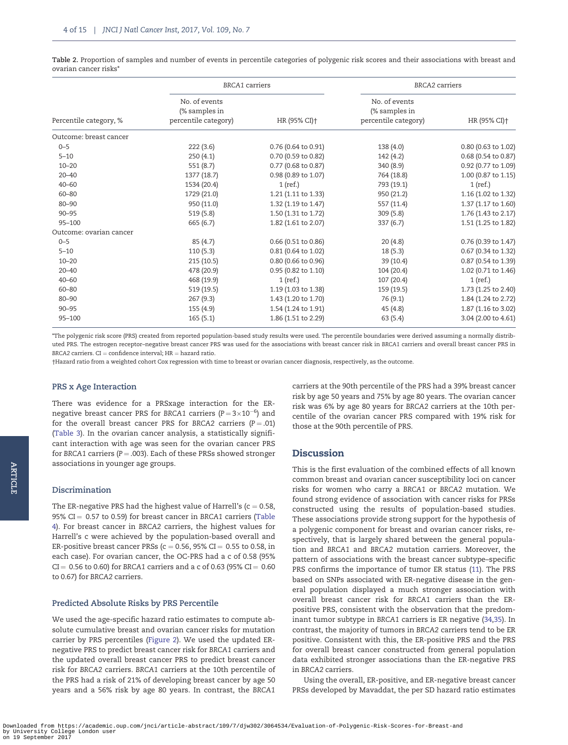|                         | <b>BRCA1</b> carriers                                  |                               | <b>BRCA2</b> carriers                                  |                          |  |
|-------------------------|--------------------------------------------------------|-------------------------------|--------------------------------------------------------|--------------------------|--|
| Percentile category, %  | No. of events<br>(% samples in<br>percentile category) | HR (95% CI)†                  | No. of events<br>(% samples in<br>percentile category) | HR (95% CI) <sup>+</sup> |  |
| Outcome: breast cancer  |                                                        |                               |                                                        |                          |  |
| $0 - 5$                 | 222(3.6)                                               | 0.76 (0.64 to 0.91)           | 138(4.0)                                               | 0.80 (0.63 to 1.02)      |  |
| $5 - 10$                | 250(4.1)                                               | 0.70 (0.59 to 0.82)           | 142 (4.2)                                              | 0.68 (0.54 to 0.87)      |  |
| $10 - 20$               | 551 (8.7)                                              | 0.77 (0.68 to 0.87)           | 340(8.9)                                               | 0.92 (0.77 to 1.09)      |  |
| $20 - 40$               | 1377 (18.7)                                            | 0.98 (0.89 to 1.07)           | 764 (18.8)                                             | 1.00 (0.87 to 1.15)      |  |
| $40 - 60$               | 1534 (20.4)                                            | $1$ (ref.)                    | 793 (19.1)                                             | $1$ (ref.)               |  |
| $60 - 80$               | 1729 (21.0)                                            | $1.21(1.11$ to $1.33)$        | 950 (21.2)                                             | 1.16 (1.02 to 1.32)      |  |
| $80 - 90$               | 950 (11.0)                                             | 1.32 (1.19 to 1.47)           | 557 (11.4)                                             | 1.37 (1.17 to 1.60)      |  |
| $90 - 95$               | 519 (5.8)                                              | 1.50 (1.31 to 1.72)           | 309(5.8)                                               | 1.76 (1.43 to 2.17)      |  |
| 95-100                  | 665 (6.7)                                              | 1.82 (1.61 to 2.07)           | 337(6.7)                                               | 1.51 (1.25 to 1.82)      |  |
| Outcome: ovarian cancer |                                                        |                               |                                                        |                          |  |
| $0 - 5$                 | 85(4.7)                                                | 0.66 (0.51 to 0.86)           | 20(4.8)                                                | 0.76 (0.39 to 1.47)      |  |
| $5 - 10$                | 110(5.3)                                               | 0.81 (0.64 to 1.02)           | 18(5.3)                                                | 0.67 (0.34 to 1.32)      |  |
| $10 - 20$               | 215 (10.5)                                             | 0.80 (0.66 to 0.96)           | 39 (10.4)                                              | 0.87 (0.54 to 1.39)      |  |
| $20 - 40$               | 478 (20.9)                                             | 0.95 (0.82 to 1.10)           | 104 (20.4)                                             | 1.02 (0.71 to 1.46)      |  |
| $40 - 60$               | 468 (19.9)                                             | $1$ (ref.)                    | 107 (20.4)                                             | $1$ (ref.)               |  |
| $60 - 80$               | 519 (19.5)                                             | $1.19(1.03 \text{ to } 1.38)$ | 159 (19.5)                                             | 1.73 (1.25 to 2.40)      |  |
| $80 - 90$               | 267(9.3)                                               | 1.43 (1.20 to 1.70)           | 76 (9.1)                                               | 1.84 (1.24 to 2.72)      |  |
| $90 - 95$               | 155 (4.9)                                              | 1.54 (1.24 to 1.91)           | 45 (4.8)                                               | 1.87 (1.16 to 3.02)      |  |
| $95 - 100$              | 165(5.1)                                               | 1.86 (1.51 to 2.29)           | 63(5.4)                                                | 3.04 (2.00 to 4.61)      |  |

<span id="page-3-0"></span>Table 2. Proportion of samples and number of events in percentile categories of polygenic risk scores and their associations with breast and ovarian cancer risks\*

\*The polygenic risk score (PRS) created from reported population-based study results were used. The percentile boundaries were derived assuming a normally distributed PRS. The estrogen receptor–negative breast cancer PRS was used for the associations with breast cancer risk in BRCA1 carriers and overall breast cancer PRS in BRCA2 carriers.  $CI = confidence$  interval:  $HR = hazard$  ratio.

†Hazard ratio from a weighted cohort Cox regression with time to breast or ovarian cancer diagnosis, respectively, as the outcome.

## PRS x Age Interaction

There was evidence for a PRSxage interaction for the ERnegative breast cancer PRS for BRCA1 carriers (P $=$  3 $\times10^{-6}$ ) and for the overall breast cancer PRS for BRCA2 carriers  $(P = .01)$ ([Table 3](#page-5-0)). In the ovarian cancer analysis, a statistically significant interaction with age was seen for the ovarian cancer PRS for BRCA1 carriers ( $P = .003$ ). Each of these PRSs showed stronger associations in younger age groups.

#### Discrimination

The ER-negative PRS had the highest value of Harrell's ( $c = 0.58$ , 95% CI  $= 0.57$  to 0.59) for breast cancer in BRCA1 carriers [\(Table](#page-5-0) [4\)](#page-5-0). For breast cancer in BRCA2 carriers, the highest values for Harrell's c were achieved by the population-based overall and ER-positive breast cancer PRSs (c = 0.56, 95% CI = 0.55 to 0.58, in each case). For ovarian cancer, the OC-PRS had a c of 0.58 (95%  $CI = 0.56$  to 0.60) for BRCA1 carriers and a c of 0.63 (95%  $CI = 0.60$ to 0.67) for BRCA2 carriers.

#### Predicted Absolute Risks by PRS Percentile

We used the age-specific hazard ratio estimates to compute absolute cumulative breast and ovarian cancer risks for mutation carrier by PRS percentiles [\(Figure 2](#page-6-0)). We used the updated ERnegative PRS to predict breast cancer risk for BRCA1 carriers and the updated overall breast cancer PRS to predict breast cancer risk for BRCA2 carriers. BRCA1 carriers at the 10th percentile of the PRS had a risk of 21% of developing breast cancer by age 50 years and a 56% risk by age 80 years. In contrast, the BRCA1

carriers at the 90th percentile of the PRS had a 39% breast cancer risk by age 50 years and 75% by age 80 years. The ovarian cancer risk was 6% by age 80 years for BRCA2 carriers at the 10th percentile of the ovarian cancer PRS compared with 19% risk for those at the 90th percentile of PRS.

# Discussion

This is the first evaluation of the combined effects of all known common breast and ovarian cancer susceptibility loci on cancer risks for women who carry a BRCA1 or BRCA2 mutation. We found strong evidence of association with cancer risks for PRSs constructed using the results of population-based studies. These associations provide strong support for the hypothesis of a polygenic component for breast and ovarian cancer risks, respectively, that is largely shared between the general population and BRCA1 and BRCA2 mutation carriers. Moreover, the pattern of associations with the breast cancer subtype–specific PRS confirms the importance of tumor ER status [\(11\)](#page-13-0). The PRS based on SNPs associated with ER-negative disease in the general population displayed a much stronger association with overall breast cancer risk for BRCA1 carriers than the ERpositive PRS, consistent with the observation that the predominant tumor subtype in BRCA1 carriers is ER negative ([34,35](#page-13-0)). In contrast, the majority of tumors in BRCA2 carriers tend to be ER positive. Consistent with this, the ER-positive PRS and the PRS for overall breast cancer constructed from general population data exhibited stronger associations than the ER-negative PRS in BRCA2 carriers.

Using the overall, ER-positive, and ER-negative breast cancer PRSs developed by Mavaddat, the per SD hazard ratio estimates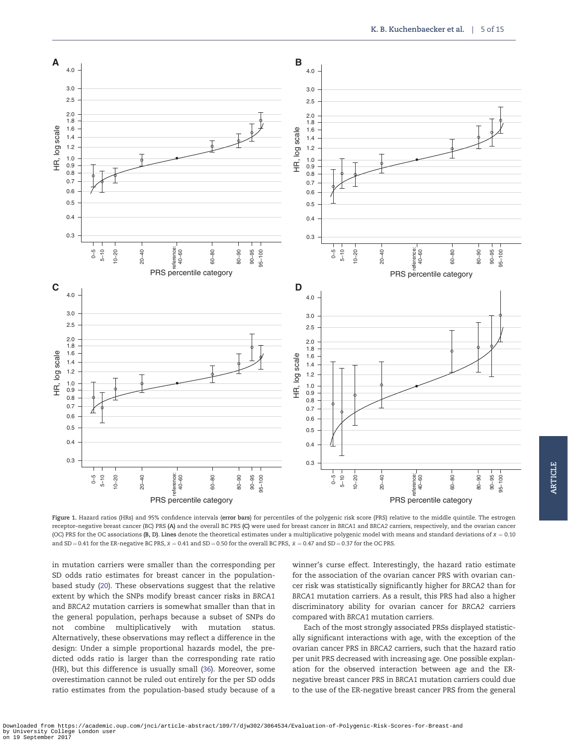<span id="page-4-0"></span>

Figure 1. Hazard ratios (HRs) and 95% confidence intervals (error bars) for percentiles of the polygenic risk score (PRS) relative to the middle quintile. The estrogen receptor-negative breast cancer (BC) PRS (A) and the overall BC PRS (C) were used for breast cancer in BRCA1 and BRCA2 carriers, respectively, and the ovarian cancer (OC) PRS for the OC associations (B, D). Lines denote the theoretical estimates under a multiplicative polygenic model with means and standard deviations of  $\bar{x} = 0.10$ and SD = 0.41 for the ER-negative BC PRS,  $\bar{x} = 0.41$  and SD = 0.50 for the overall BC PRS,  $\bar{x} = 0.47$  and SD = 0.37 for the OC PRS.

in mutation carriers were smaller than the corresponding per SD odds ratio estimates for breast cancer in the populationbased study [\(20](#page-13-0)). These observations suggest that the relative extent by which the SNPs modify breast cancer risks in BRCA1 and BRCA2 mutation carriers is somewhat smaller than that in the general population, perhaps because a subset of SNPs do not combine multiplicatively with mutation status. Alternatively, these observations may reflect a difference in the design: Under a simple proportional hazards model, the predicted odds ratio is larger than the corresponding rate ratio (HR), but this difference is usually small ([36](#page-13-0)). Moreover, some overestimation cannot be ruled out entirely for the per SD odds ratio estimates from the population-based study because of a

winner's curse effect. Interestingly, the hazard ratio estimate for the association of the ovarian cancer PRS with ovarian cancer risk was statistically significantly higher for BRCA2 than for BRCA1 mutation carriers. As a result, this PRS had also a higher discriminatory ability for ovarian cancer for BRCA2 carriers compared with BRCA1 mutation carriers.

Each of the most strongly associated PRSs displayed statistically significant interactions with age, with the exception of the ovarian cancer PRS in BRCA2 carriers, such that the hazard ratio per unit PRS decreased with increasing age. One possible explanation for the observed interaction between age and the ERnegative breast cancer PRS in BRCA1 mutation carriers could due to the use of the ER-negative breast cancer PRS from the general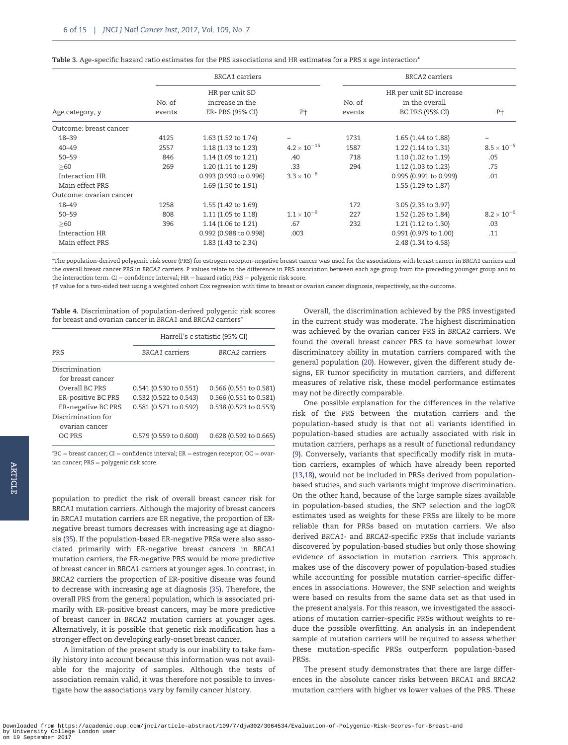|                         |                | <b>BRCA1</b> carriers  |                       |                         | <b>BRCA2</b> carriers  |                      |  |
|-------------------------|----------------|------------------------|-----------------------|-------------------------|------------------------|----------------------|--|
|                         | HR per unit SD |                        |                       | HR per unit SD increase |                        |                      |  |
|                         | No. of         | increase in the        |                       | No. of                  | in the overall         |                      |  |
| Age category, y         | events         | ER- PRS (95% CI)       | $P+$                  | events                  | <b>BC PRS (95% CI)</b> | P <sup>+</sup>       |  |
| Outcome: breast cancer  |                |                        |                       |                         |                        |                      |  |
| $18 - 39$               | 4125           | 1.63 (1.52 to 1.74)    |                       | 1731                    | 1.65 (1.44 to 1.88)    |                      |  |
| $40 - 49$               | 2557           | 1.18 (1.13 to 1.23)    | $4.2 \times 10^{-15}$ | 1587                    | 1.22 (1.14 to 1.31)    | $8.5 \times 10^{-5}$ |  |
| $50 - 59$               | 846            | 1.14 (1.09 to 1.21)    | .40                   | 718                     | 1.10 (1.02 to 1.19)    | .05                  |  |
| >60                     | 269            | 1.20 (1.11 to 1.29)    | .33                   | 294                     | 1.12 (1.03 to 1.23)    | .75                  |  |
| Interaction HR          |                | 0.993 (0.990 to 0.996) | $3.3 \times 10^{-6}$  |                         | 0.995 (0.991 to 0.999) | .01                  |  |
| Main effect PRS         |                | 1.69 (1.50 to 1.91)    |                       |                         | 1.55 (1.29 to 1.87)    |                      |  |
| Outcome: ovarian cancer |                |                        |                       |                         |                        |                      |  |
| 18-49                   | 1258           | 1.55 (1.42 to 1.69)    |                       | 172                     | 3.05 (2.35 to 3.97)    |                      |  |
| $50 - 59$               | 808            | 1.11 (1.05 to 1.18)    | $1.1 \times 10^{-9}$  | 227                     | 1.52 (1.26 to 1.84)    | $8.2 \times 10^{-6}$ |  |
| >60                     | 396            | 1.14 (1.06 to 1.21)    | .67                   | 232                     | 1.21 (1.12 to 1.30)    | .03                  |  |
| Interaction HR          |                | 0.992 (0.988 to 0.998) | .003                  |                         | 0.991 (0.979 to 1.00)  | .11                  |  |
| Main effect PRS         |                | 1.83 (1.43 to 2.34)    |                       |                         | 2.48 (1.34 to 4.58)    |                      |  |

<span id="page-5-0"></span>Table 3. Age-specific hazard ratio estimates for the PRS associations and HR estimates for a PRS x age interaction\*

\*The population-derived polygenic risk score (PRS) for estrogen receptor–negative breast cancer was used for the associations with breast cancer in BRCA1 carriers and the overall breast cancer PRS in BRCA2 carriers. P values relate to the difference in PRS association between each age group from the preceding younger group and to the interaction term.  $CI =$  confidence interval;  $HR =$  hazard ratio;  $PRS =$  polygenic risk score.

†P value for a two-sided test using a weighted cohort Cox regression with time to breast or ovarian cancer diagnosis, respectively, as the outcome.

Table 4. Discrimination of population-derived polygenic risk scores for breast and ovarian cancer in BRCA1 and BRCA2 carriers\*

|                                                            | Harrell's c statistic (95% CI) |                            |  |  |
|------------------------------------------------------------|--------------------------------|----------------------------|--|--|
| PRS                                                        | <b>BRCA1</b> carriers          | BRCA <sub>2</sub> carriers |  |  |
| Discrimination<br>for breast cancer                        |                                |                            |  |  |
| Overall BC PRS                                             | 0.541 (0.530 to 0.551)         | 0.566 (0.551 to 0.581)     |  |  |
| ER-positive BC PRS                                         | 0.532 (0.522 to 0.543)         | 0.566 (0.551 to 0.581)     |  |  |
| ER-negative BC PRS<br>Discrimination for<br>ovarian cancer | 0.581 (0.571 to 0.592)         | 0.538 (0.523 to 0.553)     |  |  |
| OC PRS                                                     | 0.579 (0.559 to 0.600)         | 0.628 (0.592 to 0.665)     |  |  |

 $*BC =$  breast cancer;  $CI =$  confidence interval;  $ER =$  estrogen receptor;  $OC =$  ovar $ian cancer; PRS = polygenic risk score.$ 

population to predict the risk of overall breast cancer risk for BRCA1 mutation carriers. Although the majority of breast cancers in BRCA1 mutation carriers are ER negative, the proportion of ERnegative breast tumors decreases with increasing age at diagnosis ([35\)](#page-13-0). If the population-based ER-negative PRSs were also associated primarily with ER-negative breast cancers in BRCA1 mutation carriers, the ER-negative PRS would be more predictive of breast cancer in BRCA1 carriers at younger ages. In contrast, in BRCA2 carriers the proportion of ER-positive disease was found to decrease with increasing age at diagnosis ([35\)](#page-13-0). Therefore, the overall PRS from the general population, which is associated primarily with ER-positive breast cancers, may be more predictive of breast cancer in BRCA2 mutation carriers at younger ages. Alternatively, it is possible that genetic risk modification has a stronger effect on developing early-onset breast cancer.

A limitation of the present study is our inability to take family history into account because this information was not available for the majority of samples. Although the tests of association remain valid, it was therefore not possible to investigate how the associations vary by family cancer history.

Overall, the discrimination achieved by the PRS investigated in the current study was moderate. The highest discrimination was achieved by the ovarian cancer PRS in BRCA2 carriers. We found the overall breast cancer PRS to have somewhat lower discriminatory ability in mutation carriers compared with the general population [\(20\)](#page-13-0). However, given the different study designs, ER tumor specificity in mutation carriers, and different measures of relative risk, these model performance estimates may not be directly comparable.

One possible explanation for the differences in the relative risk of the PRS between the mutation carriers and the population-based study is that not all variants identified in population-based studies are actually associated with risk in mutation carriers, perhaps as a result of functional redundancy ([9](#page-13-0)). Conversely, variants that specifically modify risk in mutation carriers, examples of which have already been reported ([13,18\)](#page-13-0), would not be included in PRSs derived from populationbased studies, and such variants might improve discrimination. On the other hand, because of the large sample sizes available in population-based studies, the SNP selection and the logOR estimates used as weights for these PRSs are likely to be more reliable than for PRSs based on mutation carriers. We also derived BRCA1- and BRCA2-specific PRSs that include variants discovered by population-based studies but only those showing evidence of association in mutation carriers. This approach makes use of the discovery power of population-based studies while accounting for possible mutation carrier–specific differences in associations. However, the SNP selection and weights were based on results from the same data set as that used in the present analysis. For this reason, we investigated the associations of mutation carrier–specific PRSs without weights to reduce the possible overfitting. An analysis in an independent sample of mutation carriers will be required to assess whether these mutation-specific PRSs outperform population-based PRSs.

The present study demonstrates that there are large differences in the absolute cancer risks between BRCA1 and BRCA2 mutation carriers with higher vs lower values of the PRS. These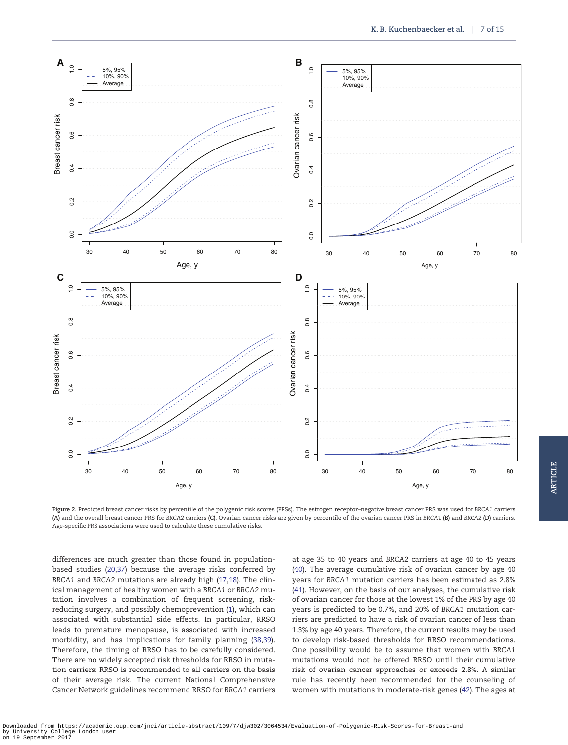<span id="page-6-0"></span>

Figure 2. Predicted breast cancer risks by percentile of the polygenic risk scores (PRSs). The estrogen receptor–negative breast cancer PRS was used for BRCA1 carriers (A) and the overall breast cancer PRS for BRCA2 carriers (C). Ovarian cancer risks are given by percentile of the ovarian cancer PRS in BRCA1 (B) and BRCA2 (D) carriers. Age-specific PRS associations were used to calculate these cumulative risks.

differences are much greater than those found in populationbased studies ([20,37](#page-13-0)) because the average risks conferred by BRCA1 and BRCA2 mutations are already high ([17,18](#page-13-0)). The clinical management of healthy women with a BRCA1 or BRCA2 mutation involves a combination of frequent screening, riskreducing surgery, and possibly chemoprevention ([1\)](#page-13-0), which can associated with substantial side effects. In particular, RRSO leads to premature menopause, is associated with increased morbidity, and has implications for family planning ([38,](#page-13-0)[39](#page-14-0)). Therefore, the timing of RRSO has to be carefully considered. There are no widely accepted risk thresholds for RRSO in mutation carriers: RRSO is recommended to all carriers on the basis of their average risk. The current National Comprehensive Cancer Network guidelines recommend RRSO for BRCA1 carriers

at age 35 to 40 years and BRCA2 carriers at age 40 to 45 years ([40](#page-14-0)). The average cumulative risk of ovarian cancer by age 40 years for BRCA1 mutation carriers has been estimated as 2.8% ([41](#page-14-0)). However, on the basis of our analyses, the cumulative risk of ovarian cancer for those at the lowest 1% of the PRS by age 40 years is predicted to be 0.7%, and 20% of BRCA1 mutation carriers are predicted to have a risk of ovarian cancer of less than 1.3% by age 40 years. Therefore, the current results may be used to develop risk-based thresholds for RRSO recommendations. One possibility would be to assume that women with BRCA1 mutations would not be offered RRSO until their cumulative risk of ovarian cancer approaches or exceeds 2.8%. A similar rule has recently been recommended for the counseling of women with mutations in moderate-risk genes [\(42](#page-14-0)). The ages at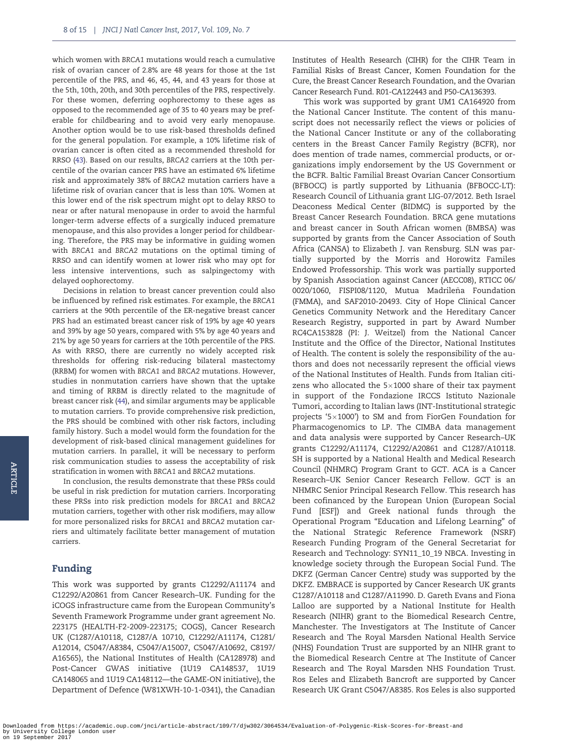which women with BRCA1 mutations would reach a cumulative risk of ovarian cancer of 2.8% are 48 years for those at the 1st percentile of the PRS, and 46, 45, 44, and 43 years for those at the 5th, 10th, 20th, and 30th percentiles of the PRS, respectively. For these women, deferring oophorectomy to these ages as opposed to the recommended age of 35 to 40 years may be preferable for childbearing and to avoid very early menopause. Another option would be to use risk-based thresholds defined for the general population. For example, a 10% lifetime risk of ovarian cancer is often cited as a recommended threshold for RRSO [\(43](#page-14-0)). Based on our results, BRCA2 carriers at the 10th percentile of the ovarian cancer PRS have an estimated 6% lifetime risk and approximately 38% of BRCA2 mutation carriers have a lifetime risk of ovarian cancer that is less than 10%. Women at this lower end of the risk spectrum might opt to delay RRSO to near or after natural menopause in order to avoid the harmful longer-term adverse effects of a surgically induced premature menopause, and this also provides a longer period for childbearing. Therefore, the PRS may be informative in guiding women with BRCA1 and BRCA2 mutations on the optimal timing of RRSO and can identify women at lower risk who may opt for less intensive interventions, such as salpingectomy with delayed oophorectomy.

Decisions in relation to breast cancer prevention could also be influenced by refined risk estimates. For example, the BRCA1 carriers at the 90th percentile of the ER-negative breast cancer PRS had an estimated breast cancer risk of 19% by age 40 years and 39% by age 50 years, compared with 5% by age 40 years and 21% by age 50 years for carriers at the 10th percentile of the PRS. As with RRSO, there are currently no widely accepted risk thresholds for offering risk-reducing bilateral mastectomy (RRBM) for women with BRCA1 and BRCA2 mutations. However, studies in nonmutation carriers have shown that the uptake and timing of RRBM is directly related to the magnitude of breast cancer risk [\(44](#page-14-0)), and similar arguments may be applicable to mutation carriers. To provide comprehensive risk prediction, the PRS should be combined with other risk factors, including family history. Such a model would form the foundation for the development of risk-based clinical management guidelines for mutation carriers. In parallel, it will be necessary to perform risk communication studies to assess the acceptability of risk stratification in women with BRCA1 and BRCA2 mutations.

In conclusion, the results demonstrate that these PRSs could be useful in risk prediction for mutation carriers. Incorporating these PRSs into risk prediction models for BRCA1 and BRCA2 mutation carriers, together with other risk modifiers, may allow for more personalized risks for BRCA1 and BRCA2 mutation carriers and ultimately facilitate better management of mutation carriers.

# Funding

This work was supported by grants C12292/A11174 and C12292/A20861 from Cancer Research–UK. Funding for the iCOGS infrastructure came from the European Community's Seventh Framework Programme under grant agreement No. 223175 (HEALTH-F2-2009-223175; COGS), Cancer Research UK (C1287/A10118, C1287/A 10710, C12292/A11174, C1281/ A12014, C5047/A8384, C5047/A15007, C5047/A10692, C8197/ A16565), the National Institutes of Health (CA128978) and Post-Cancer GWAS initiative (1U19 CA148537, 1U19 CA148065 and 1U19 CA148112—the GAME-ON initiative), the Department of Defence (W81XWH-10-1-0341), the Canadian

Institutes of Health Research (CIHR) for the CIHR Team in Familial Risks of Breast Cancer, Komen Foundation for the Cure, the Breast Cancer Research Foundation, and the Ovarian Cancer Research Fund. R01-CA122443 and P50-CA136393.

This work was supported by grant UM1 CA164920 from the National Cancer Institute. The content of this manuscript does not necessarily reflect the views or policies of the National Cancer Institute or any of the collaborating centers in the Breast Cancer Family Registry (BCFR), nor does mention of trade names, commercial products, or organizations imply endorsement by the US Government or the BCFR. Baltic Familial Breast Ovarian Cancer Consortium (BFBOCC) is partly supported by Lithuania (BFBOCC-LT): Research Council of Lithuania grant LIG-07/2012. Beth Israel Deaconess Medical Center (BIDMC) is supported by the Breast Cancer Research Foundation. BRCA gene mutations and breast cancer in South African women (BMBSA) was supported by grants from the Cancer Association of South Africa (CANSA) to Elizabeth J. van Rensburg. SLN was partially supported by the Morris and Horowitz Familes Endowed Professorship. This work was partially supported by Spanish Association against Cancer (AECC08), RTICC 06/ 0020/1060, FISPI08/1120, Mutua Madrileña Foundation (FMMA), and SAF2010-20493. City of Hope Clinical Cancer Genetics Community Network and the Hereditary Cancer Research Registry, supported in part by Award Number RC4CA153828 (PI: J. Weitzel) from the National Cancer Institute and the Office of the Director, National Institutes of Health. The content is solely the responsibility of the authors and does not necessarily represent the official views of the National Institutes of Health. Funds from Italian citizens who allocated the 5 $\times$ 1000 share of their tax payment in support of the Fondazione IRCCS Istituto Nazionale Tumori, according to Italian laws (INT-Institutional strategic projects '5 $\times$ 1000') to SM and from FiorGen Foundation for Pharmacogenomics to LP. The CIMBA data management and data analysis were supported by Cancer Research–UK grants C12292/A11174, C12292/A20861 and C1287/A10118. SH is supported by a National Health and Medical Research Council (NHMRC) Program Grant to GCT. ACA is a Cancer Research–UK Senior Cancer Research Fellow. GCT is an NHMRC Senior Principal Research Fellow. This research has been cofinanced by the European Union (European Social Fund [ESF]) and Greek national funds through the Operational Program "Education and Lifelong Learning" of the National Strategic Reference Framework (NSRF) Research Funding Program of the General Secretariat for Research and Technology: SYN11\_10\_19 NBCA. Investing in knowledge society through the European Social Fund. The DKFZ (German Cancer Centre) study was supported by the DKFZ. EMBRACE is supported by Cancer Research UK grants C1287/A10118 and C1287/A11990. D. Gareth Evans and Fiona Lalloo are supported by a National Institute for Health Research (NIHR) grant to the Biomedical Research Centre, Manchester. The Investigators at The Institute of Cancer Research and The Royal Marsden National Health Service (NHS) Foundation Trust are supported by an NIHR grant to the Biomedical Research Centre at The Institute of Cancer Research and The Royal Marsden NHS Foundation Trust. Ros Eeles and Elizabeth Bancroft are supported by Cancer Research UK Grant C5047/A8385. Ros Eeles is also supported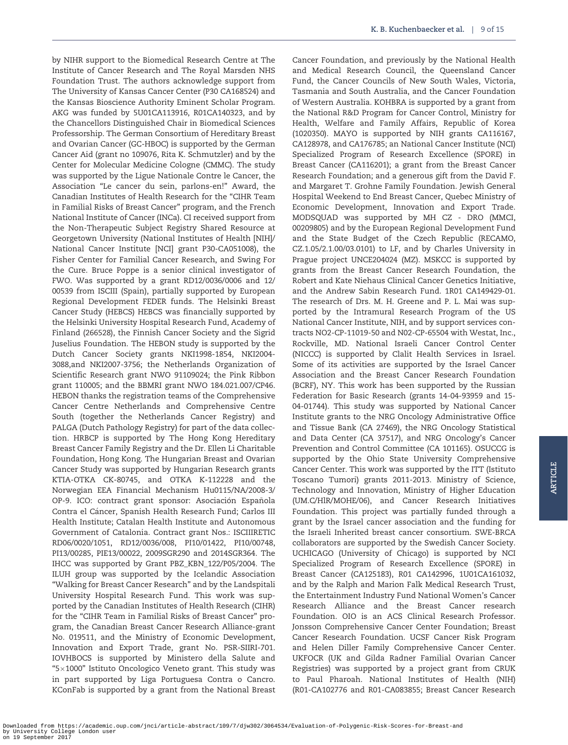by NIHR support to the Biomedical Research Centre at The Institute of Cancer Research and The Royal Marsden NHS Foundation Trust. The authors acknowledge support from The University of Kansas Cancer Center (P30 CA168524) and the Kansas Bioscience Authority Eminent Scholar Program. AKG was funded by 5U01CA113916, R01CA140323, and by the Chancellors Distinguished Chair in Biomedical Sciences Professorship. The German Consortium of Hereditary Breast and Ovarian Cancer (GC-HBOC) is supported by the German Cancer Aid (grant no 109076, Rita K. Schmutzler) and by the Center for Molecular Medicine Cologne (CMMC). The study was supported by the Ligue Nationale Contre le Cancer, the Association "Le cancer du sein, parlons-en!" Award, the Canadian Institutes of Health Research for the "CIHR Team in Familial Risks of Breast Cancer" program, and the French National Institute of Cancer (INCa). CI received support from the Non-Therapeutic Subject Registry Shared Resource at Georgetown University (National Institutes of Health [NIH]/ National Cancer Institute [NCI] grant P30-CA051008), the Fisher Center for Familial Cancer Research, and Swing For the Cure. Bruce Poppe is a senior clinical investigator of FWO. Was supported by a grant RD12/0036/0006 and 12/ 00539 from ISCIII (Spain), partially supported by European Regional Development FEDER funds. The Helsinki Breast Cancer Study (HEBCS) HEBCS was financially supported by the Helsinki University Hospital Research Fund, Academy of Finland (266528), the Finnish Cancer Society and the Sigrid Juselius Foundation. The HEBON study is supported by the Dutch Cancer Society grants NKI1998-1854, NKI2004- 3088,and NKI2007-3756; the Netherlands Organization of Scientific Research grant NWO 91109024; the Pink Ribbon grant 110005; and the BBMRI grant NWO 184.021.007/CP46. HEBON thanks the registration teams of the Comprehensive Cancer Centre Netherlands and Comprehensive Centre South (together the Netherlands Cancer Registry) and PALGA (Dutch Pathology Registry) for part of the data collection. HRBCP is supported by The Hong Kong Hereditary Breast Cancer Family Registry and the Dr. Ellen Li Charitable Foundation, Hong Kong. The Hungarian Breast and Ovarian Cancer Study was supported by Hungarian Research grants KTIA-OTKA CK-80745, and OTKA K-112228 and the Norwegian EEA Financial Mechanism Hu0115/NA/2008-3/ OP-9. ICO: contract grant sponsor: Asociación Española Contra el Cáncer, Spanish Health Research Fund; Carlos III Health Institute; Catalan Health Institute and Autonomous Government of Catalonia. Contract grant Nos.: ISCIIIRETIC RD06/0020/1051, RD12/0036/008, PI10/01422, PI10/00748, PI13/00285, PIE13/00022, 2009SGR290 and 2014SGR364. The IHCC was supported by Grant PBZ\_KBN\_122/P05/2004. The ILUH group was supported by the Icelandic Association "Walking for Breast Cancer Research" and by the Landspitali University Hospital Research Fund. This work was supported by the Canadian Institutes of Health Research (CIHR) for the "CIHR Team in Familial Risks of Breast Cancer" program, the Canadian Breast Cancer Research Alliance-grant No. 019511, and the Ministry of Economic Development, Innovation and Export Trade, grant No. PSR-SIIRI-701. IOVHBOCS is supported by Ministero della Salute and "5 $\times$ 1000" Istituto Oncologico Veneto grant. This study was in part supported by Liga Portuguesa Contra o Cancro. KConFab is supported by a grant from the National Breast

Cancer Foundation, and previously by the National Health and Medical Research Council, the Queensland Cancer Fund, the Cancer Councils of New South Wales, Victoria, Tasmania and South Australia, and the Cancer Foundation of Western Australia. KOHBRA is supported by a grant from the National R&D Program for Cancer Control, Ministry for Health, Welfare and Family Affairs, Republic of Korea (1020350). MAYO is supported by NIH grants CA116167, CA128978, and CA176785; an National Cancer Institute (NCI) Specialized Program of Research Excellence (SPORE) in Breast Cancer (CA116201); a grant from the Breast Cancer Research Foundation; and a generous gift from the David F. and Margaret T. Grohne Family Foundation. Jewish General Hospital Weekend to End Breast Cancer, Quebec Ministry of Economic Development, Innovation and Export Trade. MODSQUAD was supported by MH CZ - DRO (MMCI, 00209805) and by the European Regional Development Fund and the State Budget of the Czech Republic (RECAMO, CZ.1.05/2.1.00/03.0101) to LF, and by Charles University in Prague project UNCE204024 (MZ). MSKCC is supported by grants from the Breast Cancer Research Foundation, the Robert and Kate Niehaus Clinical Cancer Genetics Initiative, and the Andrew Sabin Research Fund. 1R01 CA149429-01. The research of Drs. M. H. Greene and P. L. Mai was supported by the Intramural Research Program of the US National Cancer Institute, NIH, and by support services contracts NO2-CP-11019-50 and N02-CP-65504 with Westat, Inc., Rockville, MD. National Israeli Cancer Control Center (NICCC) is supported by Clalit Health Services in Israel. Some of its activities are supported by the Israel Cancer Association and the Breast Cancer Research Foundation (BCRF), NY. This work has been supported by the Russian Federation for Basic Research (grants 14-04-93959 and 15- 04-01744). This study was supported by National Cancer Institute grants to the NRG Oncology Administrative Office and Tissue Bank (CA 27469), the NRG Oncology Statistical and Data Center (CA 37517), and NRG Oncology's Cancer Prevention and Control Committee (CA 101165). OSUCCG is supported by the Ohio State University Comprehensive Cancer Center. This work was supported by the ITT (Istituto Toscano Tumori) grants 2011-2013. Ministry of Science, Technology and Innovation, Ministry of Higher Education (UM.C/HlR/MOHE/06), and Cancer Research Initiatives Foundation. This project was partially funded through a grant by the Israel cancer association and the funding for the Israeli Inherited breast cancer consortium. SWE-BRCA collaborators are supported by the Swedish Cancer Society. UCHICAGO (University of Chicago) is supported by NCI Specialized Program of Research Excellence (SPORE) in Breast Cancer (CA125183), R01 CA142996, 1U01CA161032, and by the Ralph and Marion Falk Medical Research Trust, the Entertainment Industry Fund National Women's Cancer Research Alliance and the Breast Cancer research Foundation. OIO is an ACS Clinical Research Professor. Jonsson Comprehensive Cancer Center Foundation; Breast Cancer Research Foundation. UCSF Cancer Risk Program and Helen Diller Family Comprehensive Cancer Center. UKFOCR (UK and Gilda Radner Familial Ovarian Cancer Registries) was supported by a project grant from CRUK to Paul Pharoah. National Institutes of Health (NIH) (R01-CA102776 and R01-CA083855; Breast Cancer Research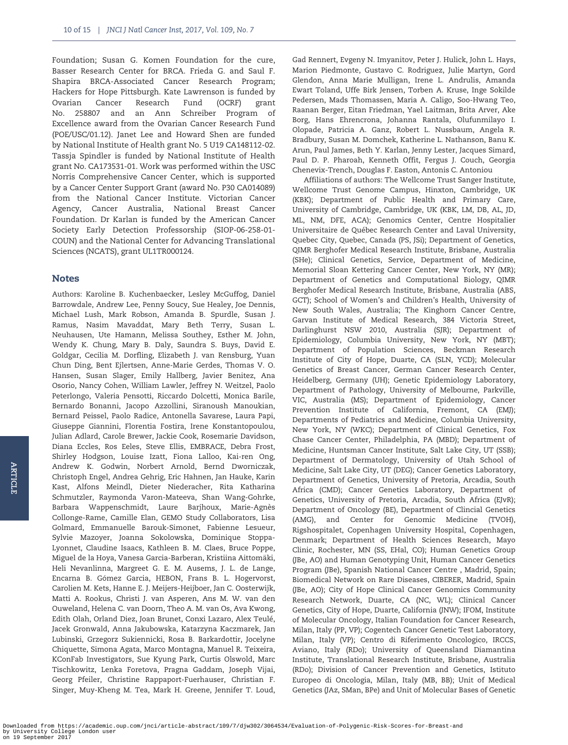Foundation; Susan G. Komen Foundation for the cure, Basser Research Center for BRCA. Frieda G. and Saul F. Shapira BRCA-Associated Cancer Research Program; Hackers for Hope Pittsburgh. Kate Lawrenson is funded by Ovarian Cancer Research Fund (OCRF) grant No. 258807 and an Ann Schreiber Program of Excellence award from the Ovarian Cancer Research Fund (POE/USC/01.12). Janet Lee and Howard Shen are funded by National Institute of Health grant No. 5 U19 CA148112-02. Tassja Spindler is funded by National Institute of Health grant No. CA173531-01. Work was performed within the USC Norris Comprehensive Cancer Center, which is supported by a Cancer Center Support Grant (award No. P30 CA014089) from the National Cancer Institute. Victorian Cancer Agency, Cancer Australia, National Breast Cancer Foundation. Dr Karlan is funded by the American Cancer Society Early Detection Professorship (SIOP-06-258-01- COUN) and the National Center for Advancing Translational Sciences (NCATS), grant UL1TR000124.

# **Notes**

Authors: Karoline B. Kuchenbaecker, Lesley McGuffog, Daniel Barrowdale, Andrew Lee, Penny Soucy, Sue Healey, Joe Dennis, Michael Lush, Mark Robson, Amanda B. Spurdle, Susan J. Ramus, Nasim Mavaddat, Mary Beth Terry, Susan L. Neuhausen, Ute Hamann, Melissa Southey, Esther M. John, Wendy K. Chung, Mary B. Daly, Saundra S. Buys, David E. Goldgar, Cecilia M. Dorfling, Elizabeth J. van Rensburg, Yuan Chun Ding, Bent Ejlertsen, Anne-Marie Gerdes, Thomas V. O. Hansen, Susan Slager, Emily Hallberg, Javier Benitez, Ana Osorio, Nancy Cohen, William Lawler, Jeffrey N. Weitzel, Paolo Peterlongo, Valeria Pensotti, Riccardo Dolcetti, Monica Barile, Bernardo Bonanni, Jacopo Azzollini, Siranoush Manoukian, Bernard Peissel, Paolo Radice, Antonella Savarese, Laura Papi, Giuseppe Giannini, Florentia Fostira, Irene Konstantopoulou, Julian Adlard, Carole Brewer, Jackie Cook, Rosemarie Davidson, Diana Eccles, Ros Eeles, Steve Ellis, EMBRACE, Debra Frost, Shirley Hodgson, Louise Izatt, Fiona Lalloo, Kai-ren Ong, Andrew K. Godwin, Norbert Arnold, Bernd Dworniczak, Christoph Engel, Andrea Gehrig, Eric Hahnen, Jan Hauke, Karin Kast, Alfons Meindl, Dieter Niederacher, Rita Katharina Schmutzler, Raymonda Varon-Mateeva, Shan Wang-Gohrke, Barbara Wappenschmidt, Laure Barjhoux, Marie-Agnès Collonge-Rame, Camille Elan, GEMO Study Collaborators, Lisa Golmard, Emmanuelle Barouk-Simonet, Fabienne Lesueur, Sylvie Mazoyer, Joanna Sokolowska, Dominique Stoppa-Lyonnet, Claudine Isaacs, Kathleen B. M. Claes, Bruce Poppe, Miguel de la Hoya, Vanesa Garcia-Barberan, Kristiina Aittomäki, Heli Nevanlinna, Margreet G. E. M. Ausems, J. L. de Lange, Encarna B. Gomez Garcia, HEBON, Frans B. L. Hogervorst, Carolien M. Kets, Hanne E. J. Meijers-Heijboer, Jan C. Oosterwijk, Matti A. Rookus, Christi J. van Asperen, Ans M. W. van den Ouweland, Helena C. van Doorn, Theo A. M. van Os, Ava Kwong, Edith Olah, Orland Diez, Joan Brunet, Conxi Lazaro, Alex Teulé, Jacek Gronwald, Anna Jakubowska, Katarzyna Kaczmarek, Jan Lubinski, Grzegorz Sukiennicki, Rosa B. Barkardottir, Jocelyne Chiquette, Simona Agata, Marco Montagna, Manuel R. Teixeira, KConFab Investigators, Sue Kyung Park, Curtis Olswold, Marc Tischkowitz, Lenka Foretova, Pragna Gaddam, Joseph Vijai, Georg Pfeiler, Christine Rappaport-Fuerhauser, Christian F. Singer, Muy-Kheng M. Tea, Mark H. Greene, Jennifer T. Loud,

Gad Rennert, Evgeny N. Imyanitov, Peter J. Hulick, John L. Hays, Marion Piedmonte, Gustavo C. Rodriguez, Julie Martyn, Gord Glendon, Anna Marie Mulligan, Irene L. Andrulis, Amanda Ewart Toland, Uffe Birk Jensen, Torben A. Kruse, Inge Sokilde Pedersen, Mads Thomassen, Maria A. Caligo, Soo-Hwang Teo, Raanan Berger, Eitan Friedman, Yael Laitman, Brita Arver, Ake Borg, Hans Ehrencrona, Johanna Rantala, Olufunmilayo I. Olopade, Patricia A. Ganz, Robert L. Nussbaum, Angela R. Bradbury, Susan M. Domchek, Katherine L. Nathanson, Banu K. Arun, Paul James, Beth Y. Karlan, Jenny Lester, Jacques Simard, Paul D. P. Pharoah, Kenneth Offit, Fergus J. Couch, Georgia Chenevix-Trench, Douglas F. Easton, Antonis C. Antoniou

Affiliations of authors: The Wellcome Trust Sanger Institute, Wellcome Trust Genome Campus, Hinxton, Cambridge, UK (KBK); Department of Public Health and Primary Care, University of Cambridge, Cambridge, UK (KBK, LM, DB, AL, JD, ML, NM, DFE, ACA); Genomics Center, Centre Hospitalier Universitaire de Québec Research Center and Laval University, Quebec City, Quebec, Canada (PS, JSi); Department of Genetics, QIMR Berghofer Medical Research Institute, Brisbane, Australia (SHe); Clinical Genetics, Service, Department of Medicine, Memorial Sloan Kettering Cancer Center, New York, NY (MR); Department of Genetics and Computational Biology, QIMR Berghofer Medical Research Institute, Brisbane, Australia (ABS, GCT); School of Women's and Children's Health, University of New South Wales, Australia; The Kinghorn Cancer Centre, Garvan Institute of Medical Research, 384 Victoria Street, Darlinghurst NSW 2010, Australia (SJR); Department of Epidemiology, Columbia University, New York, NY (MBT); Department of Population Sciences, Beckman Research Institute of City of Hope, Duarte, CA (SLN, YCD); Molecular Genetics of Breast Cancer, German Cancer Research Center, Heidelberg, Germany (UH); Genetic Epidemiology Laboratory, Department of Pathology, University of Melbourne, Parkville, VIC, Australia (MS); Department of Epidemiology, Cancer Prevention Institute of California, Fremont, CA (EMJ); Departments of Pediatrics and Medicine, Columbia University, New York, NY (WKC); Department of Clinical Genetics, Fox Chase Cancer Center, Philadelphia, PA (MBD); Department of Medicine, Huntsman Cancer Institute, Salt Lake City, UT (SSB); Department of Dermatology, University of Utah School of Medicine, Salt Lake City, UT (DEG); Cancer Genetics Laboratory, Department of Genetics, University of Pretoria, Arcadia, South Africa (CMD); Cancer Genetics Laboratory, Department of Genetics, University of Pretoria, Arcadia, South Africa (EJvR); Department of Oncology (BE), Department of Clincial Genetics (AMG), and Center for Genomic Medicine (TVOH), Rigshospitalet, Copenhagen University Hospital, Copenhagen, Denmark; Department of Health Sciences Research, Mayo Clinic, Rochester, MN (SS, EHal, CO); Human Genetics Group (JBe, AO) and Human Genotyping Unit, Human Cancer Genetics Program (JBe), Spanish National Cancer Centre , Madrid, Spain; Biomedical Network on Rare Diseases, CIBERER, Madrid, Spain (JBe, AO); City of Hope Clinical Cancer Genomics Community Research Network, Duarte, CA (NC, WL); Clinical Cancer Genetics, City of Hope, Duarte, California (JNW); IFOM, Institute of Molecular Oncology, Italian Foundation for Cancer Research, Milan, Italy (PP, VP); Cogentech Cancer Genetic Test Laboratory, Milan, Italy (VP); Centro di Riferimento Oncologico, IRCCS, Aviano, Italy (RDo); University of Queensland Diamantina Institute, Translational Research Institute, Brisbane, Australia (RDo); Division of Cancer Prevention and Genetics, Istituto Europeo di Oncologia, Milan, Italy (MB, BB); Unit of Medical Genetics (JAz, SMan, BPe) and Unit of Molecular Bases of Genetic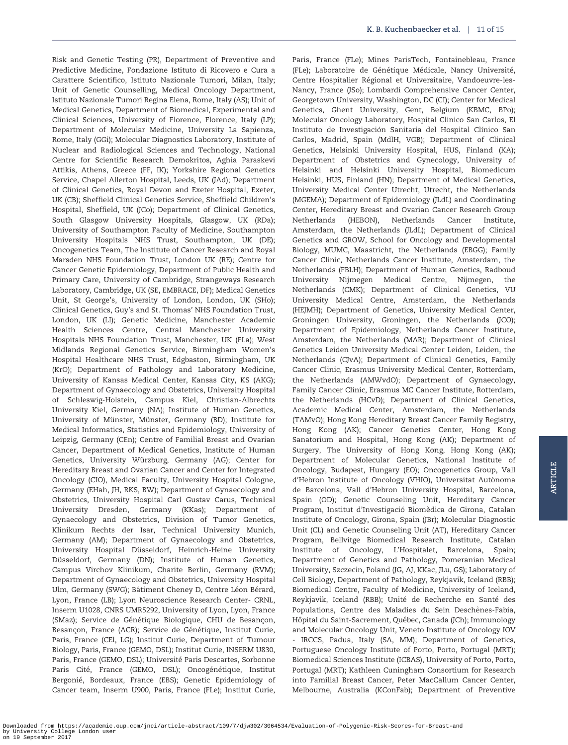Risk and Genetic Testing (PR), Department of Preventive and Predictive Medicine, Fondazione Istituto di Ricovero e Cura a Carattere Scientifico, Istituto Nazionale Tumori, Milan, Italy; Unit of Genetic Counselling, Medical Oncology Department, Istituto Nazionale Tumori Regina Elena, Rome, Italy (AS); Unit of Medical Genetics, Department of Biomedical, Experimental and Clinical Sciences, University of Florence, Florence, Italy (LP); Department of Molecular Medicine, University La Sapienza, Rome, Italy (GGi); Molecular Diagnostics Laboratory, Institute of Nuclear and Radiological Sciences and Technology, National Centre for Scientific Research Demokritos, Aghia Paraskevi Attikis, Athens, Greece (FF, IK); Yorkshire Regional Genetics Service, Chapel Allerton Hospital, Leeds, UK (JAd); Department of Clinical Genetics, Royal Devon and Exeter Hospital, Exeter, UK (CB); Sheffield Clinical Genetics Service, Sheffield Children's Hospital, Sheffield, UK (JCo); Department of Clinical Genetics, South Glasgow University Hospitals, Glasgow, UK (RDa); University of Southampton Faculty of Medicine, Southampton University Hospitals NHS Trust, Southampton, UK (DE); Oncogenetics Team, The Institute of Cancer Research and Royal Marsden NHS Foundation Trust, London UK (RE); Centre for Cancer Genetic Epidemiology, Department of Public Health and Primary Care, University of Cambridge, Strangeways Research Laboratory, Cambridge, UK (SE, EMBRACE, DF); Medical Genetics Unit, St George's, University of London, London, UK (SHo); Clinical Genetics, Guy's and St. Thomas' NHS Foundation Trust, London, UK (LI); Genetic Medicine, Manchester Academic Health Sciences Centre, Central Manchester University Hospitals NHS Foundation Trust, Manchester, UK (FLa); West Midlands Regional Genetics Service, Birmingham Women's Hospital Healthcare NHS Trust, Edgbaston, Birmingham, UK (KrO); Department of Pathology and Laboratory Medicine, University of Kansas Medical Center, Kansas City, KS (AKG); Department of Gynaecology and Obstetrics, University Hospital of Schleswig-Holstein, Campus Kiel, Christian-Albrechts University Kiel, Germany (NA); Institute of Human Genetics, University of Münster, Münster, Germany (BD); Institute for Medical Informatics, Statistics and Epidemiology, University of Leipzig, Germany (CEn); Centre of Familial Breast and Ovarian Cancer, Department of Medical Genetics, Institute of Human Genetics, University Würzburg, Germany (AG); Center for Hereditary Breast and Ovarian Cancer and Center for Integrated Oncology (CIO), Medical Faculty, University Hospital Cologne, Germany (EHah, JH, RKS, BW); Department of Gynaecology and Obstetrics, University Hospital Carl Gustav Carus, Technical University Dresden, Germany (KKas); Department of Gynaecology and Obstetrics, Division of Tumor Genetics, Klinikum Rechts der Isar, Technical University Munich, Germany (AM); Department of Gynaecology and Obstetrics, University Hospital Düsseldorf, Heinrich-Heine University Düsseldorf, Germany (DN); Institute of Human Genetics, Campus Virchov Klinikum, Charite Berlin, Germany (RVM); Department of Gynaecology and Obstetrics, University Hospital Ulm, Germany (SWG); Bâtiment Cheney D, Centre Léon Bérard, Lyon, France (LB); Lyon Neuroscience Research Center- CRNL, Inserm U1028, CNRS UMR5292, University of Lyon, Lyon, France (SMaz); Service de Génétique Biologique, CHU de Besançon, Besançon, France (ACR); Service de Génétique, Institut Curie, Paris, France (CEl, LG); Institut Curie, Department of Tumour Biology, Paris, France (GEMO, DSL); Institut Curie, INSERM U830, Paris, France (GEMO, DSL); Université Paris Descartes, Sorbonne Paris Cité, France (GEMO, DSL); Oncogénétique, Institut Bergonié, Bordeaux, France (EBS); Genetic Epidemiology of Cancer team, Inserm U900, Paris, France (FLe); Institut Curie,

Paris, France (FLe); Mines ParisTech, Fontainebleau, France (FLe); Laboratoire de Génétique Médicale, Nancy Université, Centre Hospitalier Régional et Universitaire, Vandoeuvre-les-Nancy, France (JSo); Lombardi Comprehensive Cancer Center, Georgetown University, Washington, DC (CI); Center for Medical Genetics, Ghent University, Gent, Belgium (KBMC, BPo); Molecular Oncology Laboratory, Hospital Clinico San Carlos, El Instituto de Investigación Sanitaria del Hospital Clínico San Carlos, Madrid, Spain (MdlH, VGB); Department of Clinical Genetics, Helsinki University Hospital, HUS, Finland (KA); Department of Obstetrics and Gynecology, University of Helsinki and Helsinki University Hospital, Biomedicum Helsinki, HUS, Finland (HN); Department of Medical Genetics, University Medical Center Utrecht, Utrecht, the Netherlands (MGEMA); Department of Epidemiology (JLdL) and Coordinating Center, Hereditary Breast and Ovarian Cancer Research Group Netherlands (HEBON), Netherlands Cancer Institute, Amsterdam, the Netherlands (JLdL); Department of Clinical Genetics and GROW, School for Oncology and Developmental Biology, MUMC, Maastricht, the Netherlands (EBGG); Family Cancer Clinic, Netherlands Cancer Institute, Amsterdam, the Netherlands (FBLH); Department of Human Genetics, Radboud University Nijmegen Medical Centre, Nijmegen, the Netherlands (CMK); Department of Clinical Genetics, VU University Medical Centre, Amsterdam, the Netherlands (HEJMH); Department of Genetics, University Medical Center, Groningen University, Groningen, the Netherlands (JCO); Department of Epidemiology, Netherlands Cancer Institute, Amsterdam, the Netherlands (MAR); Department of Clinical Genetics Leiden University Medical Center Leiden, Leiden, the Netherlands (CJvA); Department of Clinical Genetics, Family Cancer Clinic, Erasmus University Medical Center, Rotterdam, the Netherlands (AMWvdO); Department of Gynaecology, Family Cancer Clinic, Erasmus MC Cancer Institute, Rotterdam, the Netherlands (HCvD); Department of Clinical Genetics, Academic Medical Center, Amsterdam, the Netherlands (TAMvO); Hong Kong Hereditary Breast Cancer Family Registry, Hong Kong (AK); Cancer Genetics Center, Hong Kong Sanatorium and Hospital, Hong Kong (AK); Department of Surgery, The University of Hong Kong, Hong Kong (AK); Department of Molecular Genetics, National Institute of Oncology, Budapest, Hungary (EO); Oncogenetics Group, Vall d'Hebron Institute of Oncology (VHIO), Universitat Autònoma de Barcelona, Vall d'Hebron University Hospital, Barcelona, Spain (OD); Genetic Counseling Unit, Hereditary Cancer Program, Institut d'Investigació Biomèdica de Girona, Catalan Institute of Oncology, Girona, Spain (JBr); Molecular Diagnostic Unit (CL) and Genetic Counseling Unit (AT), Hereditary Cancer Program, Bellvitge Biomedical Research Institute, Catalan Institute of Oncology, L'Hospitalet, Barcelona, Spain; Department of Genetics and Pathology, Pomeranian Medical University, Szczecin, Poland (JG, AJ, KKac, JLu, GS); Laboratory of Cell Biology, Department of Pathology, Reykjavik, Iceland (RBB); Biomedical Centre, Faculty of Medicine, University of Iceland, Reykjavik, Iceland (RBB); Unité de Recherche en Santé des Populations, Centre des Maladies du Sein Deschênes-Fabia, Hôpital du Saint-Sacrement, Québec, Canada (JCh); Immunology and Molecular Oncology Unit, Veneto Institute of Oncology IOV - IRCCS, Padua, Italy (SA, MM); Department of Genetics, Portuguese Oncology Institute of Porto, Porto, Portugal (MRT); Biomedical Sciences Institute (ICBAS), University of Porto, Porto, Portugal (MRT); Kathleen Cuningham Consortium for Research into Familial Breast Cancer, Peter MacCallum Cancer Center, Melbourne, Australia (KConFab); Department of Preventive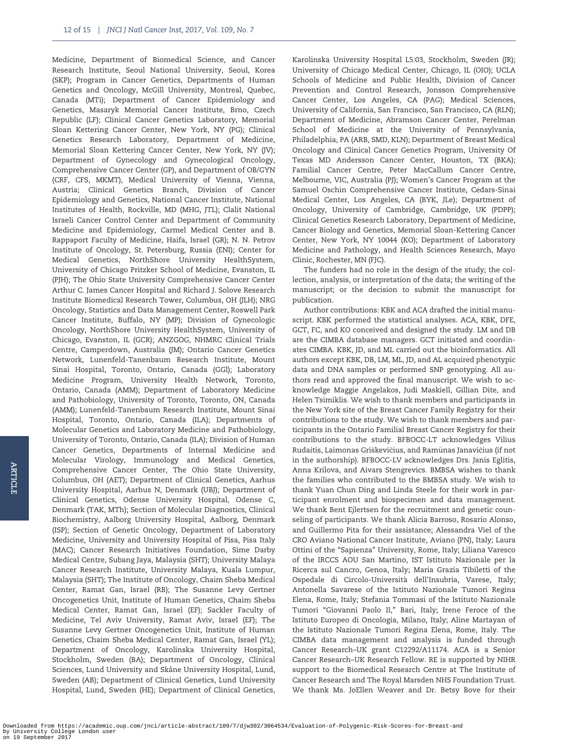Medicine, Department of Biomedical Science, and Cancer Research Institute, Seoul National University, Seoul, Korea (SKP); Program in Cancer Genetics, Departments of Human Genetics and Oncology, McGill University, Montreal, Quebec, Canada (MTi); Department of Cancer Epidemiology and Genetics, Masaryk Memorial Cancer Institute, Brno, Czech Republic (LF); Clinical Cancer Genetics Laboratory, Memorial Sloan Kettering Cancer Center, New York, NY (PG); Clinical Genetics Research Laboratory, Department of Medicine, Memorial Sloan Kettering Cancer Center, New York, NY (JV); Department of Gynecology and Gynecological Oncology, Comprehensive Cancer Center (GP), and Department of OB/GYN (CRF, CFS, MKMT), Medical University of Vienna, Vienna, Austria; Clinical Genetics Branch, Division of Cancer Epidemiology and Genetics, National Cancer Institute, National Institutes of Health, Rockville, MD (MHG, JTL); Clalit National Israeli Cancer Control Center and Department of Community Medicine and Epidemiology, Carmel Medical Center and B. Rappaport Faculty of Medicine, Haifa, Israel (GR); N. N. Petrov Institute of Oncology, St. Petersburg, Russia (ENI); Center for Medical Genetics, NorthShore University HealthSystem, University of Chicago Pritzker School of Medicine, Evanston, IL (PJH); The Ohio State University Comprehensive Cancer Center Arthur C. James Cancer Hospital and Richard J. Solove Research Institute Biomedical Research Tower, Columbus, OH (JLH); NRG Oncology, Statistics and Data Management Center, Roswell Park Cancer Institute, Buffalo, NY (MP); Division of Gynecologic Oncology, NorthShore University HealthSystem, University of Chicago, Evanston, IL (GCR); ANZGOG, NHMRC Clinical Trials Centre, Camperdown, Australia (JM); Ontario Cancer Genetics Network, Lunenfeld-Tanenbaum Research Institute, Mount Sinai Hospital, Toronto, Ontario, Canada (GGl); Laboratory Medicine Program, University Health Network, Toronto, Ontario, Canada (AMM); Department of Laboratory Medicine and Pathobiology, University of Toronto, Toronto, ON, Canada (AMM); Lunenfeld-Tanenbaum Research Institute, Mount Sinai Hospital, Toronto, Ontario, Canada (ILA); Departments of Molecular Genetics and Laboratory Medicine and Pathobiology, University of Toronto, Ontario, Canada (ILA); Division of Human Cancer Genetics, Departments of Internal Medicine and Molecular Virology, Immunology and Medical Genetics, Comprehensive Cancer Center, The Ohio State University, Columbus, OH (AET); Department of Clinical Genetics, Aarhus University Hospital, Aarhus N, Denmark (UBJ); Department of Clinical Genetics, Odense University Hospital, Odense C, Denmark (TAK, MTh); Section of Molecular Diagnostics, Clinical Biochemistry, Aalborg University Hospital, Aalborg, Denmark (ISP); Section of Genetic Oncology, Department of Laboratory Medicine, University and University Hospital of Pisa, Pisa Italy (MAC); Cancer Research Initiatives Foundation, Sime Darby Medical Centre, Subang Jaya, Malaysia (SHT); University Malaya Cancer Research Institute, University Malaya, Kuala Lumpur, Malaysia (SHT); The Institute of Oncology, Chaim Sheba Medical Center, Ramat Gan, Israel (RB); The Susanne Levy Gertner Oncogenetics Unit, Institute of Human Genetics, Chaim Sheba Medical Center, Ramat Gan, Israel (EF); Sackler Faculty of Medicine, Tel Aviv University, Ramat Aviv, Israel (EF); The Susanne Levy Gertner Oncogenetics Unit, Institute of Human Genetics, Chaim Sheba Medical Center, Ramat Gan, Israel (YL); Department of Oncology, Karolinska University Hospital, Stockholm, Sweden (BA); Department of Oncology, Clinical Sciences, Lund University and Skåne University Hospital, Lund, Sweden (AB); Department of Clinical Genetics, Lund University Hospital, Lund, Sweden (HE); Department of Clinical Genetics,

Karolinska University Hospital L5:03, Stockholm, Sweden (JR); University of Chicago Medical Center, Chicago, IL (OIO); UCLA Schools of Medicine and Public Health, Division of Cancer Prevention and Control Research, Jonsson Comprehensive Cancer Center, Los Angeles, CA (PAG); Medical Sciences, University of California, San Francisco, San Francisco, CA (RLN); Department of Medicine, Abramson Cancer Center, Perelman School of Medicine at the University of Pennsylvania, Philadelphia, PA (ARB, SMD, KLN); Department of Breast Medical Oncology and Clinical Cancer Genetics Program, University Of Texas MD Andersson Cancer Center, Houston, TX (BKA); Familial Cancer Centre, Peter MacCallum Cancer Centre, Melbourne, VIC, Australia (PJ); Women's Cancer Program at the Samuel Oschin Comprehensive Cancer Institute, Cedars-Sinai Medical Center, Los Angeles, CA (BYK, JLe); Department of Oncology, University of Cambridge, Cambridge, UK (PDPP); Clinical Genetics Research Laboratory, Department of Medicine, Cancer Biology and Genetics, Memorial Sloan-Kettering Cancer Center, New York, NY 10044 (KO); Department of Laboratory Medicine and Pathology, and Health Sciences Research, Mayo Clinic, Rochester, MN (FJC).

The funders had no role in the design of the study; the collection, analysis, or interpretation of the data; the writing of the manuscript; or the decision to submit the manuscript for publication.

Author contributions: KBK and ACA drafted the initial manuscript. KBK performed the statistical analyses. ACA, KBK, DFE, GCT, FC, and KO conceived and designed the study. LM and DB are the CIMBA database managers. GCT initiated and coordinates CIMBA. KBK, JD, and ML carried out the bioinformatics. All authors except KBK, DB, LM, ML, JD, and AL acquired phenotypic data and DNA samples or performed SNP genotyping. All authors read and approved the final manuscript. We wish to acknowledge Maggie Angelakos, Judi Maskiell, Gillian Dite, and Helen Tsimiklis. We wish to thank members and participants in the New York site of the Breast Cancer Family Registry for their contributions to the study. We wish to thank members and participants in the Ontario Familial Breast Cancer Registry for their contributions to the study. BFBOCC-LT acknowledges Vilius Rudaitis, Laimonas Griškevičius, and Ramūnas Janavičius (if not in the authorship). BFBOCC-LV acknowledges Drs. Janis Eglitis, Anna Krilova, and Aivars Stengrevics. BMBSA wishes to thank the families who contributed to the BMBSA study. We wish to thank Yuan Chun Ding and Linda Steele for their work in participant enrolment and biospecimen and data management. We thank Bent Ejlertsen for the recruitment and genetic counseling of participants. We thank Alicia Barroso, Rosario Alonso, and Guillermo Pita for their assistance; Alessandra Viel of the CRO Aviano National Cancer Institute, Aviano (PN), Italy; Laura Ottini of the "Sapienza" University, Rome, Italy; Liliana Varesco of the IRCCS AOU San Martino, IST Istituto Nazionale per la Ricerca sul Cancro, Genoa, Italy; Maria Grazia Tibiletti of the Ospedale di Circolo-Universita dell'Insubria, Varese, Italy; Antonella Savarese of the Istituto Nazionale Tumori Regina Elena, Rome, Italy; Stefania Tommasi of the Istituto Nazionale Tumori "Giovanni Paolo II," Bari, Italy; Irene Feroce of the Istituto Europeo di Oncologia, Milano, Italy; Aline Martayan of the Istituto Nazionale Tumori Regina Elena, Rome, Italy. The CIMBA data management and analysis is funded through Cancer Research–UK grant C12292/A11174. ACA is a Senior Cancer Research–UK Research Fellow. RE is supported by NIHR support to the Biomedical Research Centre at The Institute of Cancer Research and The Royal Marsden NHS Foundation Trust. We thank Ms. JoEllen Weaver and Dr. Betsy Bove for their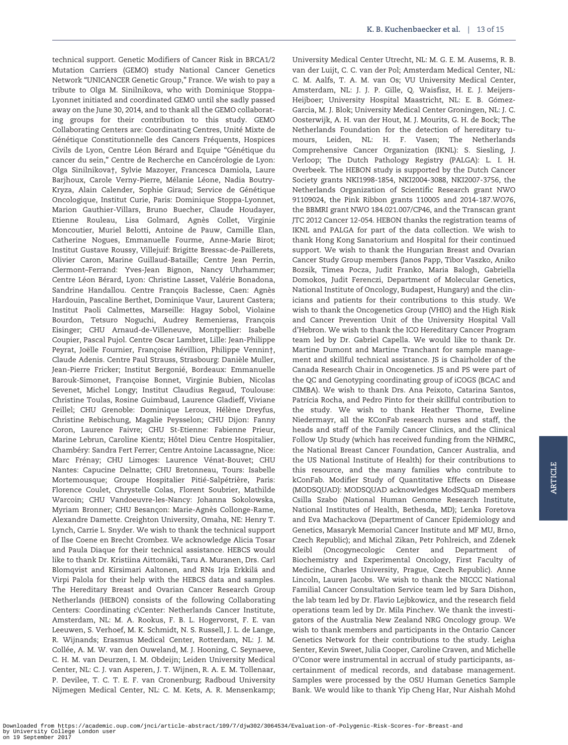technical support. Genetic Modifiers of Cancer Risk in BRCA1/2 Mutation Carriers (GEMO) study National Cancer Genetics Network "UNICANCER Genetic Group," France. We wish to pay a tribute to Olga M. Sinilnikova, who with Dominique Stoppa-Lyonnet initiated and coordinated GEMO until she sadly passed away on the June 30, 2014, and to thank all the GEMO collaborating groups for their contribution to this study. GEMO Collaborating Centers are: Coordinating Centres, Unité Mixte de Génétique Constitutionnelle des Cancers Fréquents, Hospices Civils de Lyon, Centre Léon Bérard and Equipe "Génétique du cancer du sein," Centre de Recherche en Cancérologie de Lyon: Olga Sinilnikova†, Sylvie Mazoyer, Francesca Damiola, Laure Barjhoux, Carole Verny-Pierre, Mélanie Léone, Nadia Boutry-Kryza, Alain Calender, Sophie Giraud; Service de Génétique Oncologique, Institut Curie, Paris: Dominique Stoppa-Lyonnet, Marion Gauthier-Villars, Bruno Buecher, Claude Houdayer, Etienne Rouleau, Lisa Golmard, Agnès Collet, Virginie Moncoutier, Muriel Belotti, Antoine de Pauw, Camille Elan, Catherine Nogues, Emmanuelle Fourme, Anne-Marie Birot; Institut Gustave Roussy, Villejuif: Brigitte Bressac-de-Paillerets, Olivier Caron, Marine Guillaud-Bataille; Centre Jean Perrin, Clermont–Ferrand: Yves-Jean Bignon, Nancy Uhrhammer; Centre Léon Bérard, Lyon: Christine Lasset, Valérie Bonadona, Sandrine Handallou. Centre François Baclesse, Caen: Agnès Hardouin, Pascaline Berthet, Dominique Vaur, Laurent Castera; Institut Paoli Calmettes, Marseille: Hagay Sobol, Violaine Bourdon, Tetsuro Noguchi, Audrey Remenieras, François Eisinger; CHU Arnaud-de-Villeneuve, Montpellier: Isabelle Coupier, Pascal Pujol. Centre Oscar Lambret, Lille: Jean-Philippe Peyrat, Joëlle Fournier, Françoise Révillion, Philippe Vennin†, Claude Adenis. Centre Paul Strauss, Strasbourg: Danièle Muller, Jean-Pierre Fricker; Institut Bergonié, Bordeaux: Emmanuelle Barouk-Simonet, Françoise Bonnet, Virginie Bubien, Nicolas Sevenet, Michel Longy; Institut Claudius Regaud, Toulouse: Christine Toulas, Rosine Guimbaud, Laurence Gladieff, Viviane Feillel; CHU Grenoble: Dominique Leroux, Hélène Dreyfus, Christine Rebischung, Magalie Peysselon; CHU Dijon: Fanny Coron, Laurence Faivre; CHU St-Etienne: Fabienne Prieur, Marine Lebrun, Caroline Kientz; Hôtel Dieu Centre Hospitalier, Chambéry: Sandra Fert Ferrer; Centre Antoine Lacassagne, Nice: Marc Frénay; CHU Limoges: Laurence Vénat-Bouvet; CHU Nantes: Capucine Delnatte; CHU Bretonneau, Tours: Isabelle Mortemousque; Groupe Hospitalier Pitié-Salpétrière, Paris: Florence Coulet, Chrystelle Colas, Florent Soubrier, Mathilde Warcoin; CHU Vandoeuvre-les-Nancy: Johanna Sokolowska, Myriam Bronner; CHU Besançon: Marie-Agnès Collonge-Rame, Alexandre Damette. Creighton University, Omaha, NE: Henry T. Lynch, Carrie L. Snyder. We wish to thank the technical support of Ilse Coene en Brecht Crombez. We acknowledge Alicia Tosar and Paula Diaque for their technical assistance. HEBCS would like to thank Dr. Kristiina Aittomäki, Taru A. Muranen, Drs. Carl Blomqvist and Kirsimari Aaltonen, and RNs Irja Erkkilä and Virpi Palola for their help with the HEBCS data and samples. The Hereditary Breast and Ovarian Cancer Research Group Netherlands (HEBON) consists of the following Collaborating Centers: Coordinating c\Center: Netherlands Cancer Institute, Amsterdam, NL: M. A. Rookus, F. B. L. Hogervorst, F. E. van Leeuwen, S. Verhoef, M. K. Schmidt, N. S. Russell, J. L. de Lange, R. Wijnands; Erasmus Medical Center, Rotterdam, NL: J. M. Collée, A. M. W. van den Ouweland, M. J. Hooning, C. Seynaeve, C. H. M. van Deurzen, I. M. Obdeijn; Leiden University Medical Center, NL: C. J. van Asperen, J. T. Wijnen, R. A. E. M. Tollenaar, P. Devilee, T. C. T. E. F. van Cronenburg; Radboud University Nijmegen Medical Center, NL: C. M. Kets, A. R. Mensenkamp;

University Medical Center Utrecht, NL: M. G. E. M. Ausems, R. B. van der Luijt, C. C. van der Pol; Amsterdam Medical Center, NL: C. M. Aalfs, T. A. M. van Os; VU University Medical Center, Amsterdam, NL: J. J. P. Gille, Q. Waisfisz, H. E. J. Meijers-Heijboer; University Hospital Maastricht, NL: E. B. Gómez-Garcia, M. J. Blok; University Medical Center Groningen, NL: J. C. Oosterwijk, A. H. van der Hout, M. J. Mourits, G. H. de Bock; The Netherlands Foundation for the detection of hereditary tumours, Leiden, NL: H. F. Vasen; The Netherlands Comprehensive Cancer Organization (IKNL): S. Siesling, J. Verloop; The Dutch Pathology Registry (PALGA): L. I. H. Overbeek. The HEBON study is supported by the Dutch Cancer Society grants NKI1998-1854, NKI2004-3088, NKI2007-3756, the Netherlands Organization of Scientific Research grant NWO 91109024, the Pink Ribbon grants 110005 and 2014-187.WO76, the BBMRI grant NWO 184.021.007/CP46, and the Transcan grant JTC 2012 Cancer 12-054. HEBON thanks the registration teams of IKNL and PALGA for part of the data collection. We wish to thank Hong Kong Sanatorium and Hospital for their continued support. We wish to thank the Hungarian Breast and Ovarian Cancer Study Group members (Janos Papp, Tibor Vaszko, Aniko Bozsik, Timea Pocza, Judit Franko, Maria Balogh, Gabriella Domokos, Judit Ferenczi, Department of Molecular Genetics, National Institute of Oncology, Budapest, Hungary) and the clinicians and patients for their contributions to this study. We wish to thank the Oncogenetics Group (VHIO) and the High Risk and Cancer Prevention Unit of the University Hospital Vall d'Hebron. We wish to thank the ICO Hereditary Cancer Program team led by Dr. Gabriel Capella. We would like to thank Dr. Martine Dumont and Martine Tranchant for sample management and skillful technical assistance. JS is Chairholder of the Canada Research Chair in Oncogenetics. JS and PS were part of the QC and Genotyping coordinating group of iCOGS (BCAC and CIMBA). We wish to thank Drs. Ana Peixoto, Catarina Santos, Patrícia Rocha, and Pedro Pinto for their skillful contribution to the study. We wish to thank Heather Thorne, Eveline Niedermayr, all the KConFab research nurses and staff, the heads and staff of the Family Cancer Clinics, and the Clinical Follow Up Study (which has received funding from the NHMRC, the National Breast Cancer Foundation, Cancer Australia, and the US National Institute of Health) for their contributions to this resource, and the many families who contribute to kConFab. Modifier Study of Quantitative Effects on Disease (MODSQUAD): MODSQUAD acknowledges ModSQuaD members Csilla Szabo (National Human Genome Research Institute, National Institutes of Health, Bethesda, MD); Lenka Foretova and Eva Machackova (Department of Cancer Epidemiology and Genetics, Masaryk Memorial Cancer Institute and MF MU, Brno, Czech Republic); and Michal Zikan, Petr Pohlreich, and Zdenek Kleibl (Oncogynecologic Center and Department of Biochemistry and Experimental Oncology, First Faculty of Medicine, Charles University, Prague, Czech Republic). Anne Lincoln, Lauren Jacobs. We wish to thank the NICCC National Familial Cancer Consultation Service team led by Sara Dishon, the lab team led by Dr. Flavio Lejbkowicz, and the research field operations team led by Dr. Mila Pinchev. We thank the investigators of the Australia New Zealand NRG Oncology group. We wish to thank members and participants in the Ontario Cancer Genetics Network for their contributions to the study. Leigha Senter, Kevin Sweet, Julia Cooper, Caroline Craven, and Michelle O'Conor were instrumental in accrual of study participants, ascertainment of medical records, and database management. Samples were processed by the OSU Human Genetics Sample Bank. We would like to thank Yip Cheng Har, Nur Aishah Mohd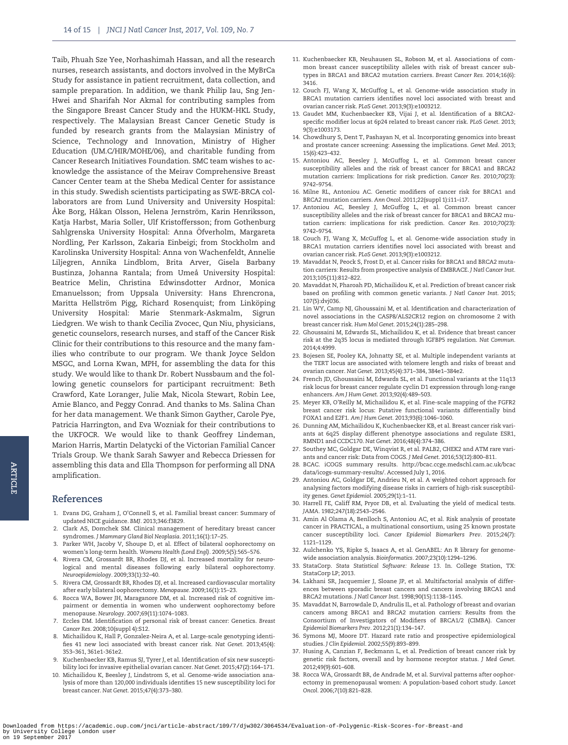<span id="page-13-0"></span>Taib, Phuah Sze Yee, Norhashimah Hassan, and all the research nurses, research assistants, and doctors involved in the MyBrCa Study for assistance in patient recruitment, data collection, and sample preparation. In addition, we thank Philip Iau, Sng Jen-Hwei and Sharifah Nor Akmal for contributing samples from the Singapore Breast Cancer Study and the HUKM-HKL Study, respectively. The Malaysian Breast Cancer Genetic Study is funded by research grants from the Malaysian Ministry of Science, Technology and Innovation, Ministry of Higher Education (UM.C/HIR/MOHE/06), and charitable funding from Cancer Research Initiatives Foundation. SMC team wishes to acknowledge the assistance of the Meirav Comprehensive Breast Cancer Center team at the Sheba Medical Center for assistance in this study. Swedish scientists participating as SWE-BRCA collaborators are from Lund University and University Hospital: Åke Borg, Håkan Olsson, Helena Jernström, Karin Henriksson, Katja Harbst, Maria Soller, Ulf Kristoffersson; from Gothenburg Sahlgrenska University Hospital: Anna Öfverholm, Margareta Nordling, Per Karlsson, Zakaria Einbeigi; from Stockholm and Karolinska University Hospital: Anna von Wachenfeldt, Annelie Liljegren, Annika Lindblom, Brita Arver, Gisela Barbany Bustinza, Johanna Rantala; from Umeå University Hospital: Beatrice Melin, Christina Edwinsdotter Ardnor, Monica Emanuelsson; from Uppsala University: Hans Ehrencrona, Maritta Hellström Pigg, Richard Rosenquist; from Linköping University Hospital: Marie Stenmark-Askmalm, Sigrun Liedgren. We wish to thank Cecilia Zvocec, Qun Niu, physicians, genetic counselors, research nurses, and staff of the Cancer Risk Clinic for their contributions to this resource and the many families who contribute to our program. We thank Joyce Seldon MSGC, and Lorna Kwan, MPH, for assembling the data for this study. We would like to thank Dr. Robert Nussbaum and the following genetic counselors for participant recruitment: Beth Crawford, Kate Loranger, Julie Mak, Nicola Stewart, Robin Lee, Amie Blanco, and Peggy Conrad. And thanks to Ms. Salina Chan for her data management. We thank Simon Gayther, Carole Pye, Patricia Harrington, and Eva Wozniak for their contributions to the UKFOCR. We would like to thank Geoffrey Lindeman, Marion Harris, Martin Delatycki of the Victorian Familial Cancer Trials Group. We thank Sarah Sawyer and Rebecca Driessen for assembling this data and Ella Thompson for performing all DNA amplification.

#### References

- 1. Evans DG, Graham J, O'Connell S, et al. Familial breast cancer: Summary of updated NICE guidance. BMJ. 2013;346:f3829.
- 2. Clark AS, Domchek SM. Clinical management of hereditary breast cancer syndromes. J Mammary Gland Biol Neoplasia. 2011;16(1):17–25.
- 3. Parker WH, Jacoby V, Shoupe D, et al. Effect of bilateral oophorectomy on women's long-term health. Womens Health (Lond Engl). 2009;5(5):565–576.
- 4. Rivera CM, Grossardt BR, Rhodes DJ, et al. Increased mortality for neurological and mental diseases following early bilateral oophorectomy. Neuroepidemiology. 2009;33(1):32–40.
- 5. Rivera CM, Grossardt BR, Rhodes DJ, et al. Increased cardiovascular mortality after early bilateral oophorectomy. Menopause. 2009;16(1):15–23.
- 6. Rocca WA, Bower JH, Maraganore DM, et al. Increased risk of cognitive impairment or dementia in women who underwent oophorectomy before menopause. Neurology. 2007;69(11):1074–1083.
- 7. Eccles DM. Identification of personal risk of breast cancer: Genetics. Breast Cancer Res. 2008;10(suppl 4):S12.
- 8. Michailidou K, Hall P, Gonzalez-Neira A, et al. Large-scale genotyping identifies 41 new loci associated with breast cancer risk. Nat Genet. 2013;45(4): 353–361, 361e1-361e2.
- 9. Kuchenbaecker KB, Ramus SJ, Tyrer J, et al. Identification of six new susceptibility loci for invasive epithelial ovarian cancer. Nat Genet. 2015;47(2):164–171.
- 10. Michailidou K, Beesley J, Lindstrom S, et al. Genome-wide association analysis of more than 120,000 individuals identifies 15 new susceptibility loci for breast cancer. Nat Genet. 2015;47(4):373–380.
- 11. Kuchenbaecker KB, Neuhausen SL, Robson M, et al. Associations of common breast cancer susceptibility alleles with risk of breast cancer subtypes in BRCA1 and BRCA2 mutation carriers. Breast Cancer Res. 2014;16(6): 3416.
- 12. Couch FJ, Wang X, McGuffog L, et al. Genome-wide association study in BRCA1 mutation carriers identifies novel loci associated with breast and ovarian cancer risk. PLoS Genet. 2013;9(3):e1003212.
- 13. Gaudet MM, Kuchenbaecker KB, Vijai J, et al. Identification of a BRCA2 specific modifier locus at 6p24 related to breast cancer risk. PLoS Genet. 2013; 9(3):e1003173.
- 14. Chowdhury S, Dent T, Pashayan N, et al. Incorporating genomics into breast and prostate cancer screening: Assessing the implications. Genet Med. 2013; 15(6):423–432.
- 15. Antoniou AC, Beesley J, McGuffog L, et al. Common breast cancer susceptibility alleles and the risk of breast cancer for BRCA1 and BRCA2 mutation carriers: Implications for risk prediction. Cancer Res. 2010;70(23): 9742–9754.
- 16. Milne RL, Antoniou AC. Genetic modifiers of cancer risk for BRCA1 and BRCA2 mutation carriers. Ann Oncol. 2011;22(suppl 1):i11–i17.
- 17. Antoniou AC, Beesley J, McGuffog L, et al. Common breast cancer susceptibility alleles and the risk of breast cancer for BRCA1 and BRCA2 mutation carriers: implications for risk prediction. Cancer Res. 2010;70(23): 9742–9754.
- 18. Couch FJ, Wang X, McGuffog L, et al. Genome-wide association study in BRCA1 mutation carriers identifies novel loci associated with breast and ovarian cancer risk. PLoS Genet. 2013;9(3):e1003212.
- 19. Mavaddat N, Peock S, Frost D, et al. Cancer risks for BRCA1 and BRCA2 mutation carriers: Results from prospective analysis of EMBRACE. J Natl Cancer Inst. 2013;105(11):812–822.
- 20. Mavaddat N, Pharoah PD, Michailidou K, et al. Prediction of breast cancer risk based on profiling with common genetic variants. J Natl Cancer Inst. 2015; 107(5):dvj036.
- 21. Lin WY, Camp NJ, Ghoussaini M, et al. Identification and characterization of novel associations in the CASP8/ALS2CR12 region on chromosome 2 with breast cancer risk. Hum Mol Genet. 2015;24(1):285–298.
- 22. Ghoussaini M, Edwards SL, Michailidou K, et al. Evidence that breast cancer risk at the 2q35 locus is mediated through IGFBP5 regulation. Nat Commun. 2014;4:4999.
- 23. Bojesen SE, Pooley KA, Johnatty SE, et al. Multiple independent variants at the TERT locus are associated with telomere length and risks of breast and ovarian cancer. Nat Genet. 2013;45(4):371–384, 384e1–384e2.
- 24. French JD, Ghoussaini M, Edwards SL, et al. Functional variants at the 11q13 risk locus for breast cancer regulate cyclin D1 expression through long-range enhancers. Am J Hum Genet. 2013;92(4):489–503.
- 25. Meyer KB, O'Reilly M, Michailidou K, et al. Fine-scale mapping of the FGFR2 breast cancer risk locus: Putative functional variants differentially bind FOXA1 and E2F1. Am J Hum Genet. 2013;93(6):1046–1060.
- 26. Dunning AM, Michailidou K, Kuchenbaecker KB, et al. Breast cancer risk variants at 6q25 display different phenotype associations and regulate ESR1, RMND1 and CCDC170. Nat Genet. 2016;48(4):374–386.
- 27. Southey MC, Goldgar DE, Winqvist R, et al. PALB2, CHEK2 and ATM rare variants and cancer risk: Data from COGS. J Med Genet. 2016;53(12):800–811.
- 28. BCAC. iCOGS summary results. [http://bcac.ccge.medschl.cam.ac.uk/bcac](http://bcac.ccge.medschl.cam.ac.uk/bcacdata/icogs-summary-results/) [data/icogs-summary-results/.](http://bcac.ccge.medschl.cam.ac.uk/bcacdata/icogs-summary-results/) Accessed July 1, 2016.
- 29. Antoniou AC, Goldgar DE, Andrieu N, et al. A weighted cohort approach for analysing factors modifying disease risks in carriers of high-risk susceptibility genes. Genet Epidemiol. 2005;29(1):1–11.
- 30. Harrell FE, Califf RM, Pryor DB, et al. Evaluating the yield of medical tests. JAMA. 1982;247(18):2543–2546.
- 31. Amin Al Olama A, Benlloch S, Antoniou AC, et al. Risk analysis of prostate cancer in PRACTICAL, a multinational consortium, using 25 known prostate cancer susceptibility loci. Cancer Epidemiol Biomarkers Prev. 2015;24(7): 1121–1129.
- 32. Aulchenko YS, Ripke S, Isaacs A, et al. GenABEL: An R library for genomewide association analysis. Bioinformatics. 2007;23(10):1294–1296.
- 33. StataCorp. Stata Statistical Software: Release 13. In. College Station, TX: StataCorp LP; 2013.
- 34. Lakhani SR, Jacquemier J, Sloane JP, et al. Multifactorial analysis of differences between sporadic breast cancers and cancers involving BRCA1 and BRCA2 mutations. J Natl Cancer Inst. 1998;90(15):1138–1145.
- 35. Mavaddat N, Barrowdale D, Andrulis IL, et al. Pathology of breast and ovarian cancers among BRCA1 and BRCA2 mutation carriers: Results from the Consortium of Investigators of Modifiers of BRCA1/2 (CIMBA). Cancer Epidemiol Biomarkers Prev. 2012;21(1):134–147.
- 36. Symons MJ, Moore DT. Hazard rate ratio and prospective epidemiological studies. J Clin Epidemiol. 2002;55(9):893–899.
- 37. Husing A, Canzian F, Beckmann L, et al. Prediction of breast cancer risk by genetic risk factors, overall and by hormone receptor status. J Med Genet. 2012;49(9):601–608.
- 38. Rocca WA, Grossardt BR, de Andrade M, et al. Survival patterns after oophorectomy in premenopausal women: A population-based cohort study. Lancet Oncol. 2006;7(10):821–828.